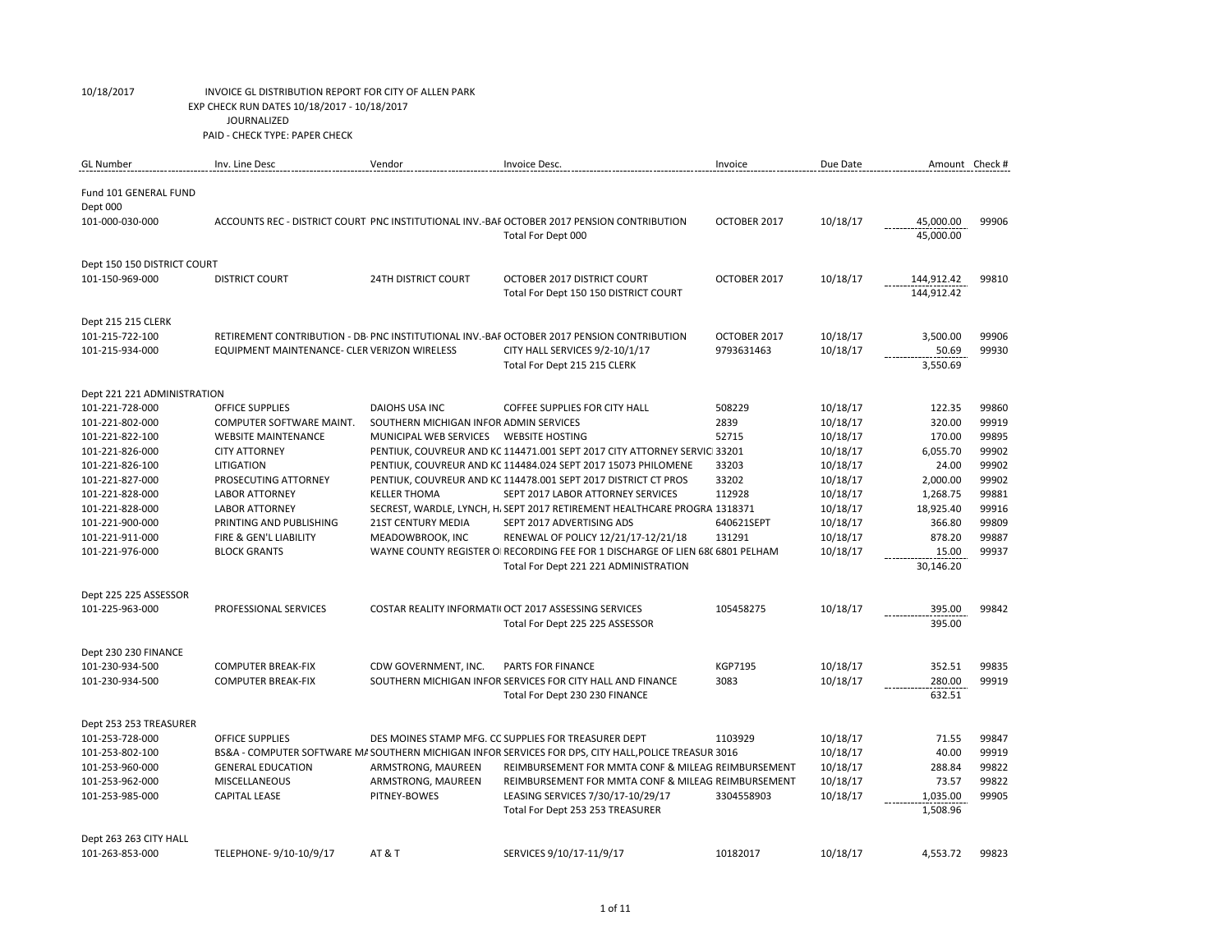| <b>GL Number</b>            | Inv. Line Desc                               | Vendor                                 | Invoice Desc.                                                                                                          | Invoice        | Due Date | Amount Check #           |       |
|-----------------------------|----------------------------------------------|----------------------------------------|------------------------------------------------------------------------------------------------------------------------|----------------|----------|--------------------------|-------|
|                             |                                              |                                        |                                                                                                                        |                |          |                          |       |
| Fund 101 GENERAL FUND       |                                              |                                        |                                                                                                                        |                |          |                          |       |
| Dept 000                    |                                              |                                        |                                                                                                                        |                |          |                          |       |
| 101-000-030-000             |                                              |                                        | ACCOUNTS REC - DISTRICT COURT PNC INSTITUTIONAL INV.-BAF OCTOBER 2017 PENSION CONTRIBUTION                             | OCTOBER 2017   | 10/18/17 | 45,000.00                | 99906 |
|                             |                                              |                                        | Total For Dept 000                                                                                                     |                |          | 45,000.00                |       |
|                             |                                              |                                        |                                                                                                                        |                |          |                          |       |
| Dept 150 150 DISTRICT COURT |                                              |                                        |                                                                                                                        |                |          |                          |       |
| 101-150-969-000             | <b>DISTRICT COURT</b>                        | <b>24TH DISTRICT COURT</b>             | OCTOBER 2017 DISTRICT COURT<br>Total For Dept 150 150 DISTRICT COURT                                                   | OCTOBER 2017   | 10/18/17 | 144,912.42<br>144,912.42 | 99810 |
|                             |                                              |                                        |                                                                                                                        |                |          |                          |       |
| Dept 215 215 CLERK          |                                              |                                        |                                                                                                                        |                |          |                          |       |
| 101-215-722-100             |                                              |                                        | RETIREMENT CONTRIBUTION - DB PNC INSTITUTIONAL INV.-BAF OCTOBER 2017 PENSION CONTRIBUTION                              | OCTOBER 2017   | 10/18/17 | 3,500.00                 | 99906 |
| 101-215-934-000             | EQUIPMENT MAINTENANCE- CLER VERIZON WIRELESS |                                        | CITY HALL SERVICES 9/2-10/1/17                                                                                         | 9793631463     | 10/18/17 | 50.69                    | 99930 |
|                             |                                              |                                        | Total For Dept 215 215 CLERK                                                                                           |                |          | 3,550.69                 |       |
|                             |                                              |                                        |                                                                                                                        |                |          |                          |       |
| Dept 221 221 ADMINISTRATION |                                              |                                        |                                                                                                                        |                |          |                          |       |
| 101-221-728-000             | <b>OFFICE SUPPLIES</b>                       | <b>DAIOHS USA INC</b>                  | <b>COFFEE SUPPLIES FOR CITY HALL</b>                                                                                   | 508229         | 10/18/17 | 122.35                   | 99860 |
| 101-221-802-000             | COMPUTER SOFTWARE MAINT.                     | SOUTHERN MICHIGAN INFOR ADMIN SERVICES |                                                                                                                        | 2839           | 10/18/17 | 320.00                   | 99919 |
| 101-221-822-100             | <b>WEBSITE MAINTENANCE</b>                   | MUNICIPAL WEB SERVICES                 | <b>WEBSITE HOSTING</b>                                                                                                 | 52715          | 10/18/17 | 170.00                   | 99895 |
| 101-221-826-000             | <b>CITY ATTORNEY</b>                         |                                        | PENTIUK, COUVREUR AND KC 114471.001 SEPT 2017 CITY ATTORNEY SERVIC 33201                                               |                | 10/18/17 | 6,055.70                 | 99902 |
| 101-221-826-100             | LITIGATION                                   |                                        | PENTIUK, COUVREUR AND KC 114484.024 SEPT 2017 15073 PHILOMENE                                                          | 33203          | 10/18/17 | 24.00                    | 99902 |
| 101-221-827-000             | PROSECUTING ATTORNEY                         |                                        | PENTIUK, COUVREUR AND KC 114478.001 SEPT 2017 DISTRICT CT PROS                                                         | 33202          | 10/18/17 | 2,000.00                 | 99902 |
| 101-221-828-000             | <b>LABOR ATTORNEY</b>                        | <b>KELLER THOMA</b>                    | SEPT 2017 LABOR ATTORNEY SERVICES                                                                                      | 112928         | 10/18/17 | 1,268.75                 | 99881 |
| 101-221-828-000             | <b>LABOR ATTORNEY</b>                        |                                        | SECREST, WARDLE, LYNCH, H. SEPT 2017 RETIREMENT HEALTHCARE PROGRA 1318371                                              |                | 10/18/17 | 18,925.40                | 99916 |
| 101-221-900-000             | PRINTING AND PUBLISHING                      | <b>21ST CENTURY MEDIA</b>              | SEPT 2017 ADVERTISING ADS                                                                                              | 640621SEPT     | 10/18/17 | 366.80                   | 99809 |
| 101-221-911-000             | FIRE & GEN'L LIABILITY                       | MEADOWBROOK, INC                       | RENEWAL OF POLICY 12/21/17-12/21/18                                                                                    | 131291         | 10/18/17 | 878.20                   | 99887 |
| 101-221-976-000             | <b>BLOCK GRANTS</b>                          |                                        | WAYNE COUNTY REGISTER OI RECORDING FEE FOR 1 DISCHARGE OF LIEN 68(6801 PELHAM<br>Total For Dept 221 221 ADMINISTRATION |                | 10/18/17 | 15.00<br>30,146.20       | 99937 |
|                             |                                              |                                        |                                                                                                                        |                |          |                          |       |
| Dept 225 225 ASSESSOR       |                                              |                                        |                                                                                                                        |                |          |                          |       |
| 101-225-963-000             | PROFESSIONAL SERVICES                        |                                        | COSTAR REALITY INFORMATI( OCT 2017 ASSESSING SERVICES                                                                  | 105458275      | 10/18/17 | 395.00                   | 99842 |
|                             |                                              |                                        | Total For Dept 225 225 ASSESSOR                                                                                        |                |          | 395.00                   |       |
|                             |                                              |                                        |                                                                                                                        |                |          |                          |       |
| Dept 230 230 FINANCE        |                                              |                                        |                                                                                                                        |                |          |                          |       |
| 101-230-934-500             | <b>COMPUTER BREAK-FIX</b>                    | CDW GOVERNMENT, INC.                   | <b>PARTS FOR FINANCE</b>                                                                                               | <b>KGP7195</b> | 10/18/17 | 352.51                   | 99835 |
| 101-230-934-500             | <b>COMPUTER BREAK-FIX</b>                    |                                        | SOUTHERN MICHIGAN INFOR SERVICES FOR CITY HALL AND FINANCE                                                             | 3083           | 10/18/17 | 280.00                   | 99919 |
|                             |                                              |                                        | Total For Dept 230 230 FINANCE                                                                                         |                |          | 632.51                   |       |
| Dept 253 253 TREASURER      |                                              |                                        |                                                                                                                        |                |          |                          |       |
| 101-253-728-000             | <b>OFFICE SUPPLIES</b>                       |                                        | DES MOINES STAMP MFG. CC SUPPLIES FOR TREASURER DEPT                                                                   | 1103929        | 10/18/17 | 71.55                    | 99847 |
| 101-253-802-100             |                                              |                                        | BS&A - COMPUTER SOFTWARE M/ SOUTHERN MICHIGAN INFOR SERVICES FOR DPS, CITY HALL, POLICE TREASUR 3016                   |                | 10/18/17 | 40.00                    | 99919 |
| 101-253-960-000             | <b>GENERAL EDUCATION</b>                     | ARMSTRONG, MAUREEN                     | REIMBURSEMENT FOR MMTA CONF & MILEAG REIMBURSEMENT                                                                     |                | 10/18/17 | 288.84                   | 99822 |
| 101-253-962-000             | <b>MISCELLANEOUS</b>                         | ARMSTRONG, MAUREEN                     | REIMBURSEMENT FOR MMTA CONF & MILEAG REIMBURSEMENT                                                                     |                | 10/18/17 | 73.57                    | 99822 |
| 101-253-985-000             | <b>CAPITAL LEASE</b>                         | PITNEY-BOWES                           | LEASING SERVICES 7/30/17-10/29/17                                                                                      | 3304558903     | 10/18/17 | 1,035.00                 | 99905 |
|                             |                                              |                                        | Total For Dept 253 253 TREASURER                                                                                       |                |          | 1,508.96                 |       |
|                             |                                              |                                        |                                                                                                                        |                |          |                          |       |
| Dept 263 263 CITY HALL      |                                              |                                        |                                                                                                                        |                |          |                          |       |
| 101-263-853-000             | TELEPHONE-9/10-10/9/17                       | AT&T                                   | SERVICES 9/10/17-11/9/17                                                                                               | 10182017       | 10/18/17 | 4,553.72                 | 99823 |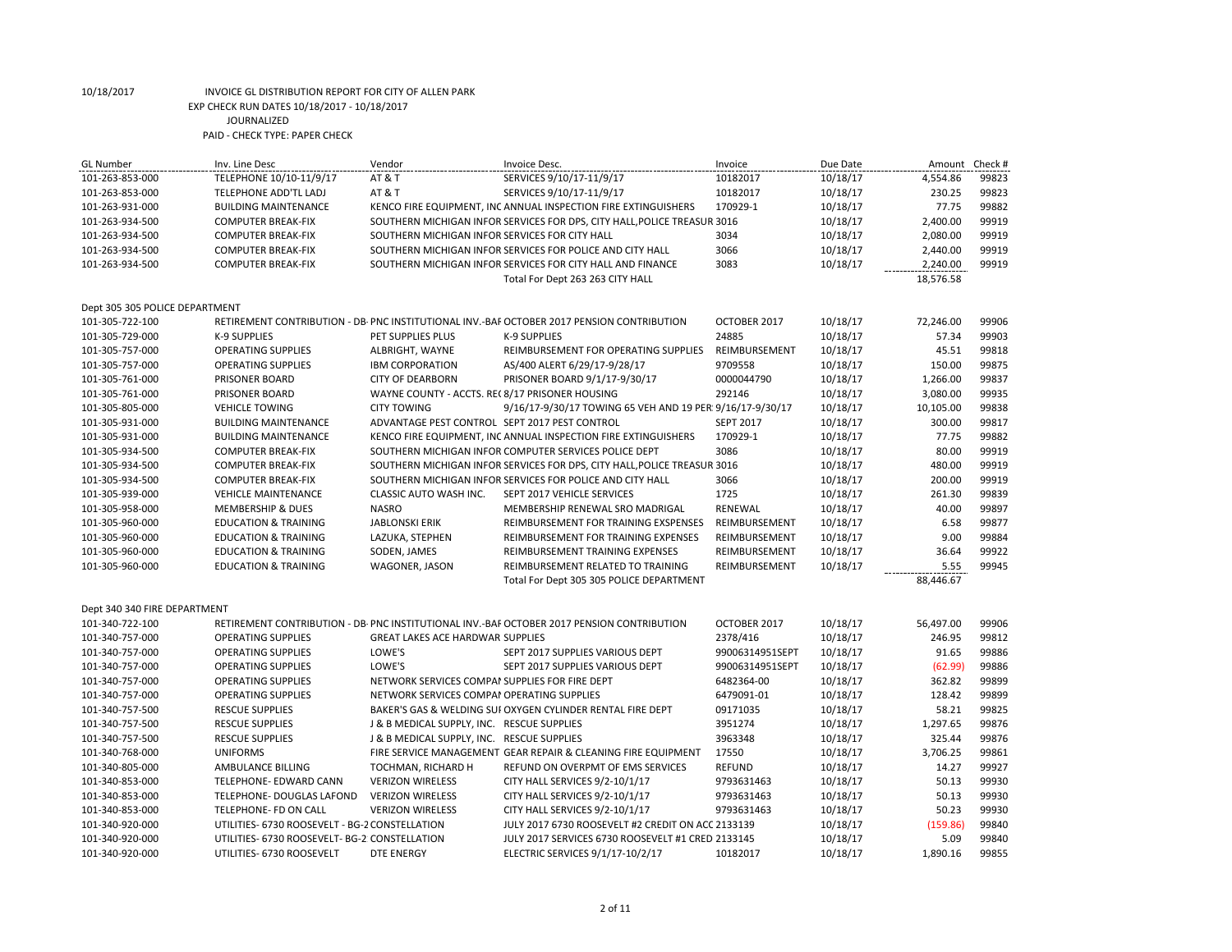| <b>GL Number</b>               | Inv. Line Desc                                 | Vendor                                          | Invoice Desc.                                                                             | Invoice          | Due Date | Amount    | Check # |
|--------------------------------|------------------------------------------------|-------------------------------------------------|-------------------------------------------------------------------------------------------|------------------|----------|-----------|---------|
| 101-263-853-000                | TELEPHONE 10/10-11/9/17                        | <b>AT &amp; T</b>                               | SERVICES 9/10/17-11/9/17                                                                  | 10182017         | 10/18/17 | 4,554.86  | 99823   |
| 101-263-853-000                | TELEPHONE ADD'TL LADJ                          | AT & T                                          | SERVICES 9/10/17-11/9/17                                                                  | 10182017         | 10/18/17 | 230.25    | 99823   |
| 101-263-931-000                | <b>BUILDING MAINTENANCE</b>                    |                                                 | KENCO FIRE EQUIPMENT, INC ANNUAL INSPECTION FIRE EXTINGUISHERS                            | 170929-1         | 10/18/17 | 77.75     | 99882   |
| 101-263-934-500                | <b>COMPUTER BREAK-FIX</b>                      |                                                 | SOUTHERN MICHIGAN INFOR SERVICES FOR DPS, CITY HALL, POLICE TREASUR 3016                  |                  | 10/18/17 | 2,400.00  | 99919   |
| 101-263-934-500                | <b>COMPUTER BREAK-FIX</b>                      | SOUTHERN MICHIGAN INFOR SERVICES FOR CITY HALL  |                                                                                           | 3034             | 10/18/17 | 2,080.00  | 99919   |
| 101-263-934-500                | <b>COMPUTER BREAK-FIX</b>                      |                                                 | SOUTHERN MICHIGAN INFOR SERVICES FOR POLICE AND CITY HALL                                 | 3066             | 10/18/17 | 2,440.00  | 99919   |
| 101-263-934-500                | <b>COMPUTER BREAK-FIX</b>                      |                                                 | SOUTHERN MICHIGAN INFOR SERVICES FOR CITY HALL AND FINANCE                                | 3083             | 10/18/17 | 2,240.00  | 99919   |
|                                |                                                |                                                 | Total For Dept 263 263 CITY HALL                                                          |                  |          | 18,576.58 |         |
| Dept 305 305 POLICE DEPARTMENT |                                                |                                                 |                                                                                           |                  |          |           |         |
| 101-305-722-100                |                                                |                                                 | RETIREMENT CONTRIBUTION - DB-PNC INSTITUTIONAL INV.-BAF OCTOBER 2017 PENSION CONTRIBUTION | OCTOBER 2017     | 10/18/17 | 72,246.00 | 99906   |
| 101-305-729-000                | <b>K-9 SUPPLIES</b>                            | PET SUPPLIES PLUS                               | <b>K-9 SUPPLIES</b>                                                                       | 24885            | 10/18/17 | 57.34     | 99903   |
| 101-305-757-000                | <b>OPERATING SUPPLIES</b>                      | ALBRIGHT, WAYNE                                 | REIMBURSEMENT FOR OPERATING SUPPLIES                                                      | REIMBURSEMENT    | 10/18/17 | 45.51     | 99818   |
| 101-305-757-000                | <b>OPERATING SUPPLIES</b>                      | <b>IBM CORPORATION</b>                          | AS/400 ALERT 6/29/17-9/28/17                                                              | 9709558          | 10/18/17 | 150.00    | 99875   |
| 101-305-761-000                | PRISONER BOARD                                 | <b>CITY OF DEARBORN</b>                         | PRISONER BOARD 9/1/17-9/30/17                                                             | 0000044790       | 10/18/17 | 1,266.00  | 99837   |
| 101-305-761-000                | PRISONER BOARD                                 | WAYNE COUNTY - ACCTS. REC 8/17 PRISONER HOUSING |                                                                                           | 292146           | 10/18/17 | 3,080.00  | 99935   |
| 101-305-805-000                | <b>VEHICLE TOWING</b>                          | <b>CITY TOWING</b>                              | 9/16/17-9/30/17 TOWING 65 VEH AND 19 PER 9/16/17-9/30/17                                  |                  | 10/18/17 | 10,105.00 | 99838   |
| 101-305-931-000                | <b>BUILDING MAINTENANCE</b>                    | ADVANTAGE PEST CONTROL SEPT 2017 PEST CONTROL   |                                                                                           | <b>SEPT 2017</b> | 10/18/17 | 300.00    | 99817   |
| 101-305-931-000                | <b>BUILDING MAINTENANCE</b>                    |                                                 | KENCO FIRE EQUIPMENT, INC ANNUAL INSPECTION FIRE EXTINGUISHERS                            | 170929-1         | 10/18/17 | 77.75     | 99882   |
| 101-305-934-500                | <b>COMPUTER BREAK-FIX</b>                      |                                                 | SOUTHERN MICHIGAN INFOR COMPUTER SERVICES POLICE DEPT                                     | 3086             | 10/18/17 | 80.00     | 99919   |
| 101-305-934-500                | <b>COMPUTER BREAK-FIX</b>                      |                                                 | SOUTHERN MICHIGAN INFOR SERVICES FOR DPS, CITY HALL, POLICE TREASUR 3016                  |                  | 10/18/17 | 480.00    | 99919   |
| 101-305-934-500                | <b>COMPUTER BREAK-FIX</b>                      |                                                 | SOUTHERN MICHIGAN INFOR SERVICES FOR POLICE AND CITY HALL                                 | 3066             | 10/18/17 | 200.00    | 99919   |
| 101-305-939-000                | <b>VEHICLE MAINTENANCE</b>                     | CLASSIC AUTO WASH INC.                          | SEPT 2017 VEHICLE SERVICES                                                                | 1725             | 10/18/17 | 261.30    | 99839   |
| 101-305-958-000                | <b>MEMBERSHIP &amp; DUES</b>                   | <b>NASRO</b>                                    | MEMBERSHIP RENEWAL SRO MADRIGAL                                                           | RENEWAL          | 10/18/17 | 40.00     | 99897   |
| 101-305-960-000                | <b>EDUCATION &amp; TRAINING</b>                | <b>JABLONSKI ERIK</b>                           | REIMBURSEMENT FOR TRAINING EXSPENSES                                                      | REIMBURSEMENT    | 10/18/17 | 6.58      | 99877   |
| 101-305-960-000                | <b>EDUCATION &amp; TRAINING</b>                | LAZUKA, STEPHEN                                 | REIMBURSEMENT FOR TRAINING EXPENSES                                                       | REIMBURSEMENT    | 10/18/17 | 9.00      | 99884   |
| 101-305-960-000                | <b>EDUCATION &amp; TRAINING</b>                | SODEN, JAMES                                    | REIMBURSEMENT TRAINING EXPENSES                                                           | REIMBURSEMENT    | 10/18/17 | 36.64     | 99922   |
| 101-305-960-000                | <b>EDUCATION &amp; TRAINING</b>                | WAGONER, JASON                                  | REIMBURSEMENT RELATED TO TRAINING                                                         | REIMBURSEMENT    | 10/18/17 | 5.55      | 99945   |
|                                |                                                |                                                 | Total For Dept 305 305 POLICE DEPARTMENT                                                  |                  |          | 88,446.67 |         |
| Dept 340 340 FIRE DEPARTMENT   |                                                |                                                 |                                                                                           |                  |          |           |         |
| 101-340-722-100                |                                                |                                                 | RETIREMENT CONTRIBUTION - DB PNC INSTITUTIONAL INV.-BAF OCTOBER 2017 PENSION CONTRIBUTION | OCTOBER 2017     | 10/18/17 | 56,497.00 | 99906   |
| 101-340-757-000                | <b>OPERATING SUPPLIES</b>                      | <b>GREAT LAKES ACE HARDWAR SUPPLIES</b>         |                                                                                           | 2378/416         | 10/18/17 | 246.95    | 99812   |
| 101-340-757-000                | <b>OPERATING SUPPLIES</b>                      | LOWE'S                                          | SEPT 2017 SUPPLIES VARIOUS DEPT                                                           | 99006314951SEPT  | 10/18/17 | 91.65     | 99886   |
| 101-340-757-000                | <b>OPERATING SUPPLIES</b>                      | LOWE'S                                          | SEPT 2017 SUPPLIES VARIOUS DEPT                                                           | 99006314951SEPT  | 10/18/17 | (62.99)   | 99886   |
| 101-340-757-000                | <b>OPERATING SUPPLIES</b>                      | NETWORK SERVICES COMPAI SUPPLIES FOR FIRE DEPT  |                                                                                           | 6482364-00       | 10/18/17 | 362.82    | 99899   |
| 101-340-757-000                | <b>OPERATING SUPPLIES</b>                      | NETWORK SERVICES COMPAI OPERATING SUPPLIES      |                                                                                           | 6479091-01       | 10/18/17 | 128.42    | 99899   |
| 101-340-757-500                | <b>RESCUE SUPPLIES</b>                         |                                                 | BAKER'S GAS & WELDING SUI OXYGEN CYLINDER RENTAL FIRE DEPT                                | 09171035         | 10/18/17 | 58.21     | 99825   |
| 101-340-757-500                | <b>RESCUE SUPPLIES</b>                         | J & B MEDICAL SUPPLY, INC. RESCUE SUPPLIES      |                                                                                           | 3951274          | 10/18/17 | 1,297.65  | 99876   |
| 101-340-757-500                | <b>RESCUE SUPPLIES</b>                         | J & B MEDICAL SUPPLY, INC. RESCUE SUPPLIES      |                                                                                           | 3963348          | 10/18/17 | 325.44    | 99876   |
| 101-340-768-000                | <b>UNIFORMS</b>                                |                                                 | FIRE SERVICE MANAGEMENT GEAR REPAIR & CLEANING FIRE EQUIPMENT                             | 17550            | 10/18/17 | 3,706.25  | 99861   |
| 101-340-805-000                | AMBULANCE BILLING                              | TOCHMAN, RICHARD H                              | REFUND ON OVERPMT OF EMS SERVICES                                                         | <b>REFUND</b>    | 10/18/17 | 14.27     | 99927   |
| 101-340-853-000                | TELEPHONE- EDWARD CANN                         | <b>VERIZON WIRELESS</b>                         | CITY HALL SERVICES 9/2-10/1/17                                                            | 9793631463       | 10/18/17 | 50.13     | 99930   |
| 101-340-853-000                | TELEPHONE- DOUGLAS LAFOND                      | <b>VERIZON WIRELESS</b>                         | CITY HALL SERVICES 9/2-10/1/17                                                            | 9793631463       | 10/18/17 | 50.13     | 99930   |
| 101-340-853-000                | TELEPHONE- FD ON CALL                          | <b>VERIZON WIRELESS</b>                         | CITY HALL SERVICES 9/2-10/1/17                                                            | 9793631463       | 10/18/17 | 50.23     | 99930   |
| 101-340-920-000                | UTILITIES- 6730 ROOSEVELT - BG-2 CONSTELLATION |                                                 | JULY 2017 6730 ROOSEVELT #2 CREDIT ON ACC 2133139                                         |                  | 10/18/17 | (159.86)  | 99840   |
| 101-340-920-000                | UTILITIES- 6730 ROOSEVELT- BG-2 CONSTELLATION  |                                                 | JULY 2017 SERVICES 6730 ROOSEVELT #1 CRED 2133145                                         |                  | 10/18/17 | 5.09      | 99840   |
| 101-340-920-000                | UTILITIES- 6730 ROOSEVELT                      | <b>DTE ENERGY</b>                               | ELECTRIC SERVICES 9/1/17-10/2/17                                                          | 10182017         | 10/18/17 | 1.890.16  | 99855   |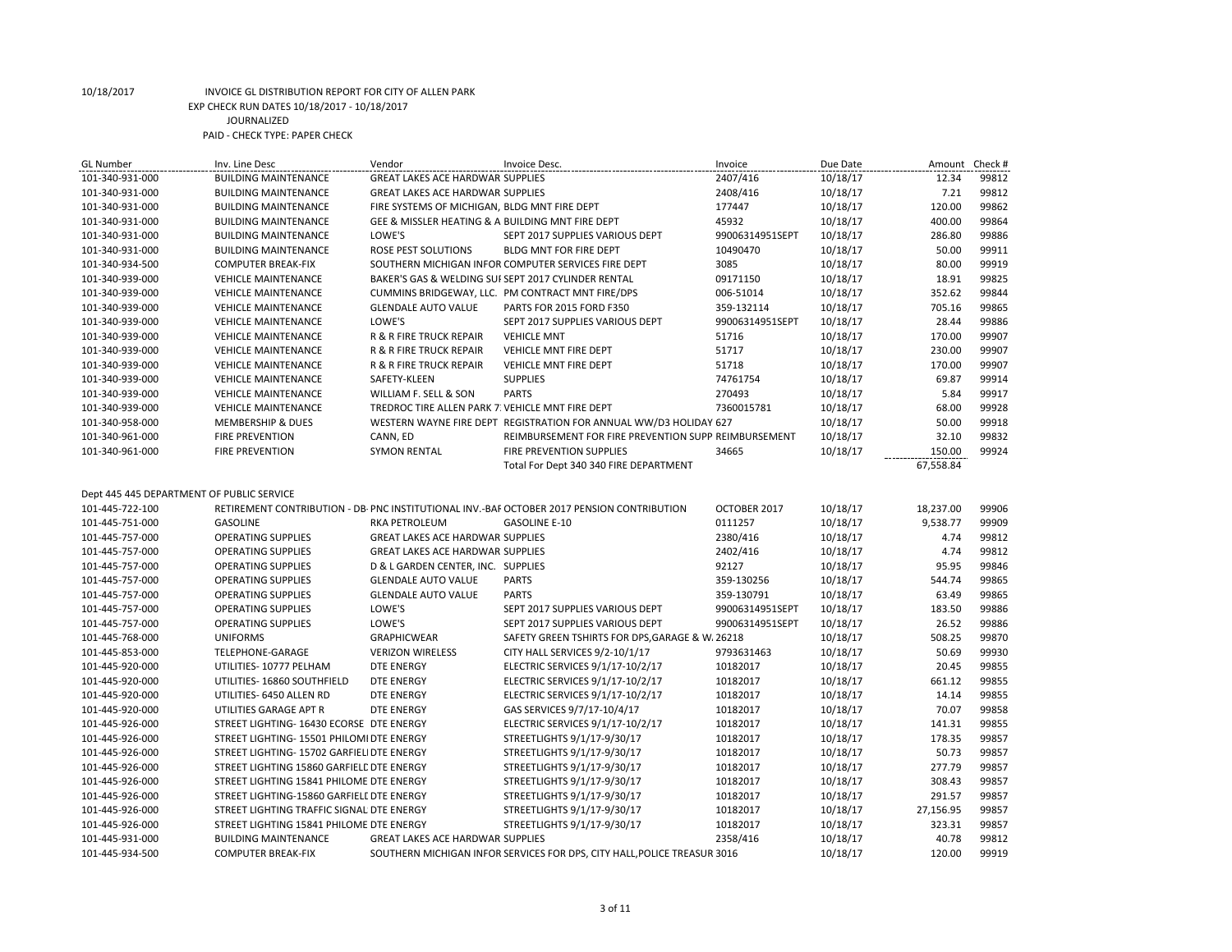| 101-340-931-000<br><b>GREAT LAKES ACE HARDWAR SUPPLIES</b><br>2407/416<br>10/18/17<br>12.34<br>99812<br><b>BUILDING MAINTENANCE</b><br>2408/416<br>7.21<br>99812<br>101-340-931-000<br><b>BUILDING MAINTENANCE</b><br><b>GREAT LAKES ACE HARDWAR SUPPLIES</b><br>10/18/17<br>177447<br>120.00<br>99862<br>101-340-931-000<br><b>BUILDING MAINTENANCE</b><br>FIRE SYSTEMS OF MICHIGAN, BLDG MNT FIRE DEPT<br>10/18/17<br>99864<br>101-340-931-000<br><b>BUILDING MAINTENANCE</b><br>GEE & MISSLER HEATING & A BUILDING MNT FIRE DEPT<br>45932<br>10/18/17<br>400.00<br>LOWE'S<br>286.80<br>99886<br>101-340-931-000<br><b>BUILDING MAINTENANCE</b><br>SEPT 2017 SUPPLIES VARIOUS DEPT<br>99006314951SEPT<br>10/18/17<br>ROSE PEST SOLUTIONS<br>10/18/17<br>50.00<br>99911<br>101-340-931-000<br><b>BUILDING MAINTENANCE</b><br>BLDG MNT FOR FIRE DEPT<br>10490470<br>80.00<br>99919<br>SOUTHERN MICHIGAN INFOR COMPUTER SERVICES FIRE DEPT<br>3085<br>10/18/17<br>101-340-934-500<br><b>COMPUTER BREAK-FIX</b><br>18.91<br>99825<br>101-340-939-000<br><b>VEHICLE MAINTENANCE</b><br>BAKER'S GAS & WELDING SUFSEPT 2017 CYLINDER RENTAL<br>09171150<br>10/18/17<br>99844<br>352.62<br>101-340-939-000<br><b>VEHICLE MAINTENANCE</b><br>CUMMINS BRIDGEWAY, LLC. PM CONTRACT MNT FIRE/DPS<br>006-51014<br>10/18/17<br>705.16<br>99865<br><b>GLENDALE AUTO VALUE</b><br>359-132114<br>10/18/17<br>101-340-939-000<br><b>VEHICLE MAINTENANCE</b><br>PARTS FOR 2015 FORD F350<br>28.44<br>99886<br><b>VEHICLE MAINTENANCE</b><br>LOWE'S<br>SEPT 2017 SUPPLIES VARIOUS DEPT<br>99006314951SEPT<br>10/18/17<br>101-340-939-000<br>170.00<br>99907<br>101-340-939-000<br><b>VEHICLE MAINTENANCE</b><br>R & R FIRE TRUCK REPAIR<br><b>VEHICLE MNT</b><br>51716<br>10/18/17<br>99907<br><b>VEHICLE MAINTENANCE</b><br>R & R FIRE TRUCK REPAIR<br>VEHICLE MNT FIRE DEPT<br>51717<br>10/18/17<br>230.00<br>101-340-939-000<br>99907<br>101-340-939-000<br>R & R FIRE TRUCK REPAIR<br><b>VEHICLE MNT FIRE DEPT</b><br>51718<br>10/18/17<br>170.00<br><b>VEHICLE MAINTENANCE</b><br>74761754<br>69.87<br>99914<br>101-340-939-000<br><b>VEHICLE MAINTENANCE</b><br>SAFETY-KLEEN<br><b>SUPPLIES</b><br>10/18/17<br>99917<br>WILLIAM F. SELL & SON<br><b>PARTS</b><br>270493<br>10/18/17<br>5.84<br>101-340-939-000<br><b>VEHICLE MAINTENANCE</b><br>99928<br>TREDROC TIRE ALLEN PARK 7: VEHICLE MNT FIRE DEPT<br>7360015781<br>10/18/17<br>68.00<br>101-340-939-000<br><b>VEHICLE MAINTENANCE</b><br>WESTERN WAYNE FIRE DEPT REGISTRATION FOR ANNUAL WW/D3 HOLIDAY 627<br>50.00<br>99918<br>101-340-958-000<br><b>MEMBERSHIP &amp; DUES</b><br>10/18/17<br>99832<br>REIMBURSEMENT FOR FIRE PREVENTION SUPP REIMBURSEMENT<br>32.10<br>101-340-961-000<br><b>FIRE PREVENTION</b><br>CANN, ED<br>10/18/17<br>99924<br><b>SYMON RENTAL</b><br>34665<br>10/18/17<br>150.00<br>101-340-961-000<br><b>FIRE PREVENTION</b><br><b>FIRE PREVENTION SUPPLIES</b><br>67,558.84<br>Total For Dept 340 340 FIRE DEPARTMENT<br>Dept 445 445 DEPARTMENT OF PUBLIC SERVICE<br>101-445-722-100<br>RETIREMENT CONTRIBUTION - DB-PNC INSTITUTIONAL INV.-BAF OCTOBER 2017 PENSION CONTRIBUTION<br>OCTOBER 2017<br>10/18/17<br>18,237.00<br>99906<br>0111257<br>99909<br>101-445-751-000<br><b>GASOLINE</b><br><b>RKA PETROLEUM</b><br><b>GASOLINE E-10</b><br>10/18/17<br>9,538.77<br><b>OPERATING SUPPLIES</b><br><b>GREAT LAKES ACE HARDWAR SUPPLIES</b><br>2380/416<br>10/18/17<br>4.74<br>99812<br>101-445-757-000<br>99812<br><b>OPERATING SUPPLIES</b><br><b>GREAT LAKES ACE HARDWAR SUPPLIES</b><br>2402/416<br>10/18/17<br>4.74<br>101-445-757-000<br>95.95<br>99846<br>101-445-757-000<br><b>OPERATING SUPPLIES</b><br>D & L GARDEN CENTER, INC. SUPPLIES<br>92127<br>10/18/17<br>10/18/17<br>544.74<br>99865<br>101-445-757-000<br><b>OPERATING SUPPLIES</b><br><b>GLENDALE AUTO VALUE</b><br><b>PARTS</b><br>359-130256<br><b>PARTS</b><br>63.49<br>99865<br><b>OPERATING SUPPLIES</b><br><b>GLENDALE AUTO VALUE</b><br>359-130791<br>10/18/17<br>101-445-757-000<br>LOWE'S<br>183.50<br>99886<br>101-445-757-000<br><b>OPERATING SUPPLIES</b><br>SEPT 2017 SUPPLIES VARIOUS DEPT<br>99006314951SEPT<br>10/18/17<br>99886<br>LOWE'S<br>99006314951SEPT<br>26.52<br>101-445-757-000<br><b>OPERATING SUPPLIES</b><br>SEPT 2017 SUPPLIES VARIOUS DEPT<br>10/18/17<br>508.25<br>99870<br><b>UNIFORMS</b><br><b>GRAPHICWEAR</b><br>SAFETY GREEN TSHIRTS FOR DPS, GARAGE & W. 26218<br>10/18/17<br>101-445-768-000<br>50.69<br>99930<br><b>TELEPHONE-GARAGE</b><br><b>VERIZON WIRELESS</b><br>CITY HALL SERVICES 9/2-10/1/17<br>9793631463<br>10/18/17<br>101-445-853-000<br><b>DTE ENERGY</b><br>20.45<br>99855<br>101-445-920-000<br>UTILITIES-10777 PELHAM<br>ELECTRIC SERVICES 9/1/17-10/2/17<br>10182017<br>10/18/17<br>99855<br>UTILITIES-16860 SOUTHFIELD<br>ELECTRIC SERVICES 9/1/17-10/2/17<br>10182017<br>10/18/17<br>661.12<br>101-445-920-000<br><b>DTE ENERGY</b><br>99855<br>101-445-920-000<br>UTILITIES- 6450 ALLEN RD<br><b>DTE ENERGY</b><br>ELECTRIC SERVICES 9/1/17-10/2/17<br>10182017<br>10/18/17<br>14.14<br>70.07<br>99858<br>101-445-920-000<br>UTILITIES GARAGE APT R<br><b>DTE ENERGY</b><br>GAS SERVICES 9/7/17-10/4/17<br>10182017<br>10/18/17<br>99855<br>STREET LIGHTING- 16430 ECORSE DTE ENERGY<br>ELECTRIC SERVICES 9/1/17-10/2/17<br>10182017<br>10/18/17<br>141.31<br>101-445-926-000<br>99857<br>STREETLIGHTS 9/1/17-9/30/17<br>10182017<br>10/18/17<br>178.35<br>101-445-926-000<br>STREET LIGHTING- 15501 PHILOMI DTE ENERGY<br>STREET LIGHTING- 15702 GARFIEL DTE ENERGY | <b>GL Number</b> | Inv. Line Desc | Vendor | Invoice Desc.               | Invoice  | Due Date | Amount | Check # |
|----------------------------------------------------------------------------------------------------------------------------------------------------------------------------------------------------------------------------------------------------------------------------------------------------------------------------------------------------------------------------------------------------------------------------------------------------------------------------------------------------------------------------------------------------------------------------------------------------------------------------------------------------------------------------------------------------------------------------------------------------------------------------------------------------------------------------------------------------------------------------------------------------------------------------------------------------------------------------------------------------------------------------------------------------------------------------------------------------------------------------------------------------------------------------------------------------------------------------------------------------------------------------------------------------------------------------------------------------------------------------------------------------------------------------------------------------------------------------------------------------------------------------------------------------------------------------------------------------------------------------------------------------------------------------------------------------------------------------------------------------------------------------------------------------------------------------------------------------------------------------------------------------------------------------------------------------------------------------------------------------------------------------------------------------------------------------------------------------------------------------------------------------------------------------------------------------------------------------------------------------------------------------------------------------------------------------------------------------------------------------------------------------------------------------------------------------------------------------------------------------------------------------------------------------------------------------------------------------------------------------------------------------------------------------------------------------------------------------------------------------------------------------------------------------------------------------------------------------------------------------------------------------------------------------------------------------------------------------------------------------------------------------------------------------------------------------------------------------------------------------------------------------------------------------------------------------------------------------------------------------------------------------------------------------------------------------------------------------------------------------------------------------------------------------------------------------------------------------------------------------------------------------------------------------------------------------------------------------------------------------------------------------------------------------------------------------------------------------------------------------------------------------------------------------------------------------------------------------------------------------------------------------------------------------------------------------------------------------------------------------------------------------------------------------------------------------------------------------------------------------------------------------------------------------------------------------------------------------------------------------------------------------------------------------------------------------------------------------------------------------------------------------------------------------------------------------------------------------------------------------------------------------------------------------------------------------------------------------------------------------------------------------------------------------------------------------------------------------------------------------------------------------------------------------------------------------------------------------------------------------------------------------------------------------------------------------------------------------------------------------------------------------------------------------------------------------------------------------------------------------------------------------------------------------------------------------------------------------------------------------------------------------------------------------------------------------------------------------------------------------------------------------------------------------------------------------------------------------------------------------------------------------------------------------------------------------------|------------------|----------------|--------|-----------------------------|----------|----------|--------|---------|
|                                                                                                                                                                                                                                                                                                                                                                                                                                                                                                                                                                                                                                                                                                                                                                                                                                                                                                                                                                                                                                                                                                                                                                                                                                                                                                                                                                                                                                                                                                                                                                                                                                                                                                                                                                                                                                                                                                                                                                                                                                                                                                                                                                                                                                                                                                                                                                                                                                                                                                                                                                                                                                                                                                                                                                                                                                                                                                                                                                                                                                                                                                                                                                                                                                                                                                                                                                                                                                                                                                                                                                                                                                                                                                                                                                                                                                                                                                                                                                                                                                                                                                                                                                                                                                                                                                                                                                                                                                                                                                                                                                                                                                                                                                                                                                                                                                                                                                                                                                                                                                                                                                                                                                                                                                                                                                                                                                                                                                                                                                                                                                                  |                  |                |        |                             |          |          |        |         |
|                                                                                                                                                                                                                                                                                                                                                                                                                                                                                                                                                                                                                                                                                                                                                                                                                                                                                                                                                                                                                                                                                                                                                                                                                                                                                                                                                                                                                                                                                                                                                                                                                                                                                                                                                                                                                                                                                                                                                                                                                                                                                                                                                                                                                                                                                                                                                                                                                                                                                                                                                                                                                                                                                                                                                                                                                                                                                                                                                                                                                                                                                                                                                                                                                                                                                                                                                                                                                                                                                                                                                                                                                                                                                                                                                                                                                                                                                                                                                                                                                                                                                                                                                                                                                                                                                                                                                                                                                                                                                                                                                                                                                                                                                                                                                                                                                                                                                                                                                                                                                                                                                                                                                                                                                                                                                                                                                                                                                                                                                                                                                                                  |                  |                |        |                             |          |          |        |         |
|                                                                                                                                                                                                                                                                                                                                                                                                                                                                                                                                                                                                                                                                                                                                                                                                                                                                                                                                                                                                                                                                                                                                                                                                                                                                                                                                                                                                                                                                                                                                                                                                                                                                                                                                                                                                                                                                                                                                                                                                                                                                                                                                                                                                                                                                                                                                                                                                                                                                                                                                                                                                                                                                                                                                                                                                                                                                                                                                                                                                                                                                                                                                                                                                                                                                                                                                                                                                                                                                                                                                                                                                                                                                                                                                                                                                                                                                                                                                                                                                                                                                                                                                                                                                                                                                                                                                                                                                                                                                                                                                                                                                                                                                                                                                                                                                                                                                                                                                                                                                                                                                                                                                                                                                                                                                                                                                                                                                                                                                                                                                                                                  |                  |                |        |                             |          |          |        |         |
|                                                                                                                                                                                                                                                                                                                                                                                                                                                                                                                                                                                                                                                                                                                                                                                                                                                                                                                                                                                                                                                                                                                                                                                                                                                                                                                                                                                                                                                                                                                                                                                                                                                                                                                                                                                                                                                                                                                                                                                                                                                                                                                                                                                                                                                                                                                                                                                                                                                                                                                                                                                                                                                                                                                                                                                                                                                                                                                                                                                                                                                                                                                                                                                                                                                                                                                                                                                                                                                                                                                                                                                                                                                                                                                                                                                                                                                                                                                                                                                                                                                                                                                                                                                                                                                                                                                                                                                                                                                                                                                                                                                                                                                                                                                                                                                                                                                                                                                                                                                                                                                                                                                                                                                                                                                                                                                                                                                                                                                                                                                                                                                  |                  |                |        |                             |          |          |        |         |
|                                                                                                                                                                                                                                                                                                                                                                                                                                                                                                                                                                                                                                                                                                                                                                                                                                                                                                                                                                                                                                                                                                                                                                                                                                                                                                                                                                                                                                                                                                                                                                                                                                                                                                                                                                                                                                                                                                                                                                                                                                                                                                                                                                                                                                                                                                                                                                                                                                                                                                                                                                                                                                                                                                                                                                                                                                                                                                                                                                                                                                                                                                                                                                                                                                                                                                                                                                                                                                                                                                                                                                                                                                                                                                                                                                                                                                                                                                                                                                                                                                                                                                                                                                                                                                                                                                                                                                                                                                                                                                                                                                                                                                                                                                                                                                                                                                                                                                                                                                                                                                                                                                                                                                                                                                                                                                                                                                                                                                                                                                                                                                                  |                  |                |        |                             |          |          |        |         |
|                                                                                                                                                                                                                                                                                                                                                                                                                                                                                                                                                                                                                                                                                                                                                                                                                                                                                                                                                                                                                                                                                                                                                                                                                                                                                                                                                                                                                                                                                                                                                                                                                                                                                                                                                                                                                                                                                                                                                                                                                                                                                                                                                                                                                                                                                                                                                                                                                                                                                                                                                                                                                                                                                                                                                                                                                                                                                                                                                                                                                                                                                                                                                                                                                                                                                                                                                                                                                                                                                                                                                                                                                                                                                                                                                                                                                                                                                                                                                                                                                                                                                                                                                                                                                                                                                                                                                                                                                                                                                                                                                                                                                                                                                                                                                                                                                                                                                                                                                                                                                                                                                                                                                                                                                                                                                                                                                                                                                                                                                                                                                                                  |                  |                |        |                             |          |          |        |         |
|                                                                                                                                                                                                                                                                                                                                                                                                                                                                                                                                                                                                                                                                                                                                                                                                                                                                                                                                                                                                                                                                                                                                                                                                                                                                                                                                                                                                                                                                                                                                                                                                                                                                                                                                                                                                                                                                                                                                                                                                                                                                                                                                                                                                                                                                                                                                                                                                                                                                                                                                                                                                                                                                                                                                                                                                                                                                                                                                                                                                                                                                                                                                                                                                                                                                                                                                                                                                                                                                                                                                                                                                                                                                                                                                                                                                                                                                                                                                                                                                                                                                                                                                                                                                                                                                                                                                                                                                                                                                                                                                                                                                                                                                                                                                                                                                                                                                                                                                                                                                                                                                                                                                                                                                                                                                                                                                                                                                                                                                                                                                                                                  |                  |                |        |                             |          |          |        |         |
|                                                                                                                                                                                                                                                                                                                                                                                                                                                                                                                                                                                                                                                                                                                                                                                                                                                                                                                                                                                                                                                                                                                                                                                                                                                                                                                                                                                                                                                                                                                                                                                                                                                                                                                                                                                                                                                                                                                                                                                                                                                                                                                                                                                                                                                                                                                                                                                                                                                                                                                                                                                                                                                                                                                                                                                                                                                                                                                                                                                                                                                                                                                                                                                                                                                                                                                                                                                                                                                                                                                                                                                                                                                                                                                                                                                                                                                                                                                                                                                                                                                                                                                                                                                                                                                                                                                                                                                                                                                                                                                                                                                                                                                                                                                                                                                                                                                                                                                                                                                                                                                                                                                                                                                                                                                                                                                                                                                                                                                                                                                                                                                  |                  |                |        |                             |          |          |        |         |
|                                                                                                                                                                                                                                                                                                                                                                                                                                                                                                                                                                                                                                                                                                                                                                                                                                                                                                                                                                                                                                                                                                                                                                                                                                                                                                                                                                                                                                                                                                                                                                                                                                                                                                                                                                                                                                                                                                                                                                                                                                                                                                                                                                                                                                                                                                                                                                                                                                                                                                                                                                                                                                                                                                                                                                                                                                                                                                                                                                                                                                                                                                                                                                                                                                                                                                                                                                                                                                                                                                                                                                                                                                                                                                                                                                                                                                                                                                                                                                                                                                                                                                                                                                                                                                                                                                                                                                                                                                                                                                                                                                                                                                                                                                                                                                                                                                                                                                                                                                                                                                                                                                                                                                                                                                                                                                                                                                                                                                                                                                                                                                                  |                  |                |        |                             |          |          |        |         |
|                                                                                                                                                                                                                                                                                                                                                                                                                                                                                                                                                                                                                                                                                                                                                                                                                                                                                                                                                                                                                                                                                                                                                                                                                                                                                                                                                                                                                                                                                                                                                                                                                                                                                                                                                                                                                                                                                                                                                                                                                                                                                                                                                                                                                                                                                                                                                                                                                                                                                                                                                                                                                                                                                                                                                                                                                                                                                                                                                                                                                                                                                                                                                                                                                                                                                                                                                                                                                                                                                                                                                                                                                                                                                                                                                                                                                                                                                                                                                                                                                                                                                                                                                                                                                                                                                                                                                                                                                                                                                                                                                                                                                                                                                                                                                                                                                                                                                                                                                                                                                                                                                                                                                                                                                                                                                                                                                                                                                                                                                                                                                                                  |                  |                |        |                             |          |          |        |         |
|                                                                                                                                                                                                                                                                                                                                                                                                                                                                                                                                                                                                                                                                                                                                                                                                                                                                                                                                                                                                                                                                                                                                                                                                                                                                                                                                                                                                                                                                                                                                                                                                                                                                                                                                                                                                                                                                                                                                                                                                                                                                                                                                                                                                                                                                                                                                                                                                                                                                                                                                                                                                                                                                                                                                                                                                                                                                                                                                                                                                                                                                                                                                                                                                                                                                                                                                                                                                                                                                                                                                                                                                                                                                                                                                                                                                                                                                                                                                                                                                                                                                                                                                                                                                                                                                                                                                                                                                                                                                                                                                                                                                                                                                                                                                                                                                                                                                                                                                                                                                                                                                                                                                                                                                                                                                                                                                                                                                                                                                                                                                                                                  |                  |                |        |                             |          |          |        |         |
|                                                                                                                                                                                                                                                                                                                                                                                                                                                                                                                                                                                                                                                                                                                                                                                                                                                                                                                                                                                                                                                                                                                                                                                                                                                                                                                                                                                                                                                                                                                                                                                                                                                                                                                                                                                                                                                                                                                                                                                                                                                                                                                                                                                                                                                                                                                                                                                                                                                                                                                                                                                                                                                                                                                                                                                                                                                                                                                                                                                                                                                                                                                                                                                                                                                                                                                                                                                                                                                                                                                                                                                                                                                                                                                                                                                                                                                                                                                                                                                                                                                                                                                                                                                                                                                                                                                                                                                                                                                                                                                                                                                                                                                                                                                                                                                                                                                                                                                                                                                                                                                                                                                                                                                                                                                                                                                                                                                                                                                                                                                                                                                  |                  |                |        |                             |          |          |        |         |
|                                                                                                                                                                                                                                                                                                                                                                                                                                                                                                                                                                                                                                                                                                                                                                                                                                                                                                                                                                                                                                                                                                                                                                                                                                                                                                                                                                                                                                                                                                                                                                                                                                                                                                                                                                                                                                                                                                                                                                                                                                                                                                                                                                                                                                                                                                                                                                                                                                                                                                                                                                                                                                                                                                                                                                                                                                                                                                                                                                                                                                                                                                                                                                                                                                                                                                                                                                                                                                                                                                                                                                                                                                                                                                                                                                                                                                                                                                                                                                                                                                                                                                                                                                                                                                                                                                                                                                                                                                                                                                                                                                                                                                                                                                                                                                                                                                                                                                                                                                                                                                                                                                                                                                                                                                                                                                                                                                                                                                                                                                                                                                                  |                  |                |        |                             |          |          |        |         |
|                                                                                                                                                                                                                                                                                                                                                                                                                                                                                                                                                                                                                                                                                                                                                                                                                                                                                                                                                                                                                                                                                                                                                                                                                                                                                                                                                                                                                                                                                                                                                                                                                                                                                                                                                                                                                                                                                                                                                                                                                                                                                                                                                                                                                                                                                                                                                                                                                                                                                                                                                                                                                                                                                                                                                                                                                                                                                                                                                                                                                                                                                                                                                                                                                                                                                                                                                                                                                                                                                                                                                                                                                                                                                                                                                                                                                                                                                                                                                                                                                                                                                                                                                                                                                                                                                                                                                                                                                                                                                                                                                                                                                                                                                                                                                                                                                                                                                                                                                                                                                                                                                                                                                                                                                                                                                                                                                                                                                                                                                                                                                                                  |                  |                |        |                             |          |          |        |         |
|                                                                                                                                                                                                                                                                                                                                                                                                                                                                                                                                                                                                                                                                                                                                                                                                                                                                                                                                                                                                                                                                                                                                                                                                                                                                                                                                                                                                                                                                                                                                                                                                                                                                                                                                                                                                                                                                                                                                                                                                                                                                                                                                                                                                                                                                                                                                                                                                                                                                                                                                                                                                                                                                                                                                                                                                                                                                                                                                                                                                                                                                                                                                                                                                                                                                                                                                                                                                                                                                                                                                                                                                                                                                                                                                                                                                                                                                                                                                                                                                                                                                                                                                                                                                                                                                                                                                                                                                                                                                                                                                                                                                                                                                                                                                                                                                                                                                                                                                                                                                                                                                                                                                                                                                                                                                                                                                                                                                                                                                                                                                                                                  |                  |                |        |                             |          |          |        |         |
|                                                                                                                                                                                                                                                                                                                                                                                                                                                                                                                                                                                                                                                                                                                                                                                                                                                                                                                                                                                                                                                                                                                                                                                                                                                                                                                                                                                                                                                                                                                                                                                                                                                                                                                                                                                                                                                                                                                                                                                                                                                                                                                                                                                                                                                                                                                                                                                                                                                                                                                                                                                                                                                                                                                                                                                                                                                                                                                                                                                                                                                                                                                                                                                                                                                                                                                                                                                                                                                                                                                                                                                                                                                                                                                                                                                                                                                                                                                                                                                                                                                                                                                                                                                                                                                                                                                                                                                                                                                                                                                                                                                                                                                                                                                                                                                                                                                                                                                                                                                                                                                                                                                                                                                                                                                                                                                                                                                                                                                                                                                                                                                  |                  |                |        |                             |          |          |        |         |
|                                                                                                                                                                                                                                                                                                                                                                                                                                                                                                                                                                                                                                                                                                                                                                                                                                                                                                                                                                                                                                                                                                                                                                                                                                                                                                                                                                                                                                                                                                                                                                                                                                                                                                                                                                                                                                                                                                                                                                                                                                                                                                                                                                                                                                                                                                                                                                                                                                                                                                                                                                                                                                                                                                                                                                                                                                                                                                                                                                                                                                                                                                                                                                                                                                                                                                                                                                                                                                                                                                                                                                                                                                                                                                                                                                                                                                                                                                                                                                                                                                                                                                                                                                                                                                                                                                                                                                                                                                                                                                                                                                                                                                                                                                                                                                                                                                                                                                                                                                                                                                                                                                                                                                                                                                                                                                                                                                                                                                                                                                                                                                                  |                  |                |        |                             |          |          |        |         |
|                                                                                                                                                                                                                                                                                                                                                                                                                                                                                                                                                                                                                                                                                                                                                                                                                                                                                                                                                                                                                                                                                                                                                                                                                                                                                                                                                                                                                                                                                                                                                                                                                                                                                                                                                                                                                                                                                                                                                                                                                                                                                                                                                                                                                                                                                                                                                                                                                                                                                                                                                                                                                                                                                                                                                                                                                                                                                                                                                                                                                                                                                                                                                                                                                                                                                                                                                                                                                                                                                                                                                                                                                                                                                                                                                                                                                                                                                                                                                                                                                                                                                                                                                                                                                                                                                                                                                                                                                                                                                                                                                                                                                                                                                                                                                                                                                                                                                                                                                                                                                                                                                                                                                                                                                                                                                                                                                                                                                                                                                                                                                                                  |                  |                |        |                             |          |          |        |         |
|                                                                                                                                                                                                                                                                                                                                                                                                                                                                                                                                                                                                                                                                                                                                                                                                                                                                                                                                                                                                                                                                                                                                                                                                                                                                                                                                                                                                                                                                                                                                                                                                                                                                                                                                                                                                                                                                                                                                                                                                                                                                                                                                                                                                                                                                                                                                                                                                                                                                                                                                                                                                                                                                                                                                                                                                                                                                                                                                                                                                                                                                                                                                                                                                                                                                                                                                                                                                                                                                                                                                                                                                                                                                                                                                                                                                                                                                                                                                                                                                                                                                                                                                                                                                                                                                                                                                                                                                                                                                                                                                                                                                                                                                                                                                                                                                                                                                                                                                                                                                                                                                                                                                                                                                                                                                                                                                                                                                                                                                                                                                                                                  |                  |                |        |                             |          |          |        |         |
|                                                                                                                                                                                                                                                                                                                                                                                                                                                                                                                                                                                                                                                                                                                                                                                                                                                                                                                                                                                                                                                                                                                                                                                                                                                                                                                                                                                                                                                                                                                                                                                                                                                                                                                                                                                                                                                                                                                                                                                                                                                                                                                                                                                                                                                                                                                                                                                                                                                                                                                                                                                                                                                                                                                                                                                                                                                                                                                                                                                                                                                                                                                                                                                                                                                                                                                                                                                                                                                                                                                                                                                                                                                                                                                                                                                                                                                                                                                                                                                                                                                                                                                                                                                                                                                                                                                                                                                                                                                                                                                                                                                                                                                                                                                                                                                                                                                                                                                                                                                                                                                                                                                                                                                                                                                                                                                                                                                                                                                                                                                                                                                  |                  |                |        |                             |          |          |        |         |
|                                                                                                                                                                                                                                                                                                                                                                                                                                                                                                                                                                                                                                                                                                                                                                                                                                                                                                                                                                                                                                                                                                                                                                                                                                                                                                                                                                                                                                                                                                                                                                                                                                                                                                                                                                                                                                                                                                                                                                                                                                                                                                                                                                                                                                                                                                                                                                                                                                                                                                                                                                                                                                                                                                                                                                                                                                                                                                                                                                                                                                                                                                                                                                                                                                                                                                                                                                                                                                                                                                                                                                                                                                                                                                                                                                                                                                                                                                                                                                                                                                                                                                                                                                                                                                                                                                                                                                                                                                                                                                                                                                                                                                                                                                                                                                                                                                                                                                                                                                                                                                                                                                                                                                                                                                                                                                                                                                                                                                                                                                                                                                                  |                  |                |        |                             |          |          |        |         |
|                                                                                                                                                                                                                                                                                                                                                                                                                                                                                                                                                                                                                                                                                                                                                                                                                                                                                                                                                                                                                                                                                                                                                                                                                                                                                                                                                                                                                                                                                                                                                                                                                                                                                                                                                                                                                                                                                                                                                                                                                                                                                                                                                                                                                                                                                                                                                                                                                                                                                                                                                                                                                                                                                                                                                                                                                                                                                                                                                                                                                                                                                                                                                                                                                                                                                                                                                                                                                                                                                                                                                                                                                                                                                                                                                                                                                                                                                                                                                                                                                                                                                                                                                                                                                                                                                                                                                                                                                                                                                                                                                                                                                                                                                                                                                                                                                                                                                                                                                                                                                                                                                                                                                                                                                                                                                                                                                                                                                                                                                                                                                                                  |                  |                |        |                             |          |          |        |         |
|                                                                                                                                                                                                                                                                                                                                                                                                                                                                                                                                                                                                                                                                                                                                                                                                                                                                                                                                                                                                                                                                                                                                                                                                                                                                                                                                                                                                                                                                                                                                                                                                                                                                                                                                                                                                                                                                                                                                                                                                                                                                                                                                                                                                                                                                                                                                                                                                                                                                                                                                                                                                                                                                                                                                                                                                                                                                                                                                                                                                                                                                                                                                                                                                                                                                                                                                                                                                                                                                                                                                                                                                                                                                                                                                                                                                                                                                                                                                                                                                                                                                                                                                                                                                                                                                                                                                                                                                                                                                                                                                                                                                                                                                                                                                                                                                                                                                                                                                                                                                                                                                                                                                                                                                                                                                                                                                                                                                                                                                                                                                                                                  |                  |                |        |                             |          |          |        |         |
|                                                                                                                                                                                                                                                                                                                                                                                                                                                                                                                                                                                                                                                                                                                                                                                                                                                                                                                                                                                                                                                                                                                                                                                                                                                                                                                                                                                                                                                                                                                                                                                                                                                                                                                                                                                                                                                                                                                                                                                                                                                                                                                                                                                                                                                                                                                                                                                                                                                                                                                                                                                                                                                                                                                                                                                                                                                                                                                                                                                                                                                                                                                                                                                                                                                                                                                                                                                                                                                                                                                                                                                                                                                                                                                                                                                                                                                                                                                                                                                                                                                                                                                                                                                                                                                                                                                                                                                                                                                                                                                                                                                                                                                                                                                                                                                                                                                                                                                                                                                                                                                                                                                                                                                                                                                                                                                                                                                                                                                                                                                                                                                  |                  |                |        |                             |          |          |        |         |
|                                                                                                                                                                                                                                                                                                                                                                                                                                                                                                                                                                                                                                                                                                                                                                                                                                                                                                                                                                                                                                                                                                                                                                                                                                                                                                                                                                                                                                                                                                                                                                                                                                                                                                                                                                                                                                                                                                                                                                                                                                                                                                                                                                                                                                                                                                                                                                                                                                                                                                                                                                                                                                                                                                                                                                                                                                                                                                                                                                                                                                                                                                                                                                                                                                                                                                                                                                                                                                                                                                                                                                                                                                                                                                                                                                                                                                                                                                                                                                                                                                                                                                                                                                                                                                                                                                                                                                                                                                                                                                                                                                                                                                                                                                                                                                                                                                                                                                                                                                                                                                                                                                                                                                                                                                                                                                                                                                                                                                                                                                                                                                                  |                  |                |        |                             |          |          |        |         |
|                                                                                                                                                                                                                                                                                                                                                                                                                                                                                                                                                                                                                                                                                                                                                                                                                                                                                                                                                                                                                                                                                                                                                                                                                                                                                                                                                                                                                                                                                                                                                                                                                                                                                                                                                                                                                                                                                                                                                                                                                                                                                                                                                                                                                                                                                                                                                                                                                                                                                                                                                                                                                                                                                                                                                                                                                                                                                                                                                                                                                                                                                                                                                                                                                                                                                                                                                                                                                                                                                                                                                                                                                                                                                                                                                                                                                                                                                                                                                                                                                                                                                                                                                                                                                                                                                                                                                                                                                                                                                                                                                                                                                                                                                                                                                                                                                                                                                                                                                                                                                                                                                                                                                                                                                                                                                                                                                                                                                                                                                                                                                                                  |                  |                |        |                             |          |          |        |         |
|                                                                                                                                                                                                                                                                                                                                                                                                                                                                                                                                                                                                                                                                                                                                                                                                                                                                                                                                                                                                                                                                                                                                                                                                                                                                                                                                                                                                                                                                                                                                                                                                                                                                                                                                                                                                                                                                                                                                                                                                                                                                                                                                                                                                                                                                                                                                                                                                                                                                                                                                                                                                                                                                                                                                                                                                                                                                                                                                                                                                                                                                                                                                                                                                                                                                                                                                                                                                                                                                                                                                                                                                                                                                                                                                                                                                                                                                                                                                                                                                                                                                                                                                                                                                                                                                                                                                                                                                                                                                                                                                                                                                                                                                                                                                                                                                                                                                                                                                                                                                                                                                                                                                                                                                                                                                                                                                                                                                                                                                                                                                                                                  |                  |                |        |                             |          |          |        |         |
|                                                                                                                                                                                                                                                                                                                                                                                                                                                                                                                                                                                                                                                                                                                                                                                                                                                                                                                                                                                                                                                                                                                                                                                                                                                                                                                                                                                                                                                                                                                                                                                                                                                                                                                                                                                                                                                                                                                                                                                                                                                                                                                                                                                                                                                                                                                                                                                                                                                                                                                                                                                                                                                                                                                                                                                                                                                                                                                                                                                                                                                                                                                                                                                                                                                                                                                                                                                                                                                                                                                                                                                                                                                                                                                                                                                                                                                                                                                                                                                                                                                                                                                                                                                                                                                                                                                                                                                                                                                                                                                                                                                                                                                                                                                                                                                                                                                                                                                                                                                                                                                                                                                                                                                                                                                                                                                                                                                                                                                                                                                                                                                  |                  |                |        |                             |          |          |        |         |
|                                                                                                                                                                                                                                                                                                                                                                                                                                                                                                                                                                                                                                                                                                                                                                                                                                                                                                                                                                                                                                                                                                                                                                                                                                                                                                                                                                                                                                                                                                                                                                                                                                                                                                                                                                                                                                                                                                                                                                                                                                                                                                                                                                                                                                                                                                                                                                                                                                                                                                                                                                                                                                                                                                                                                                                                                                                                                                                                                                                                                                                                                                                                                                                                                                                                                                                                                                                                                                                                                                                                                                                                                                                                                                                                                                                                                                                                                                                                                                                                                                                                                                                                                                                                                                                                                                                                                                                                                                                                                                                                                                                                                                                                                                                                                                                                                                                                                                                                                                                                                                                                                                                                                                                                                                                                                                                                                                                                                                                                                                                                                                                  |                  |                |        |                             |          |          |        |         |
|                                                                                                                                                                                                                                                                                                                                                                                                                                                                                                                                                                                                                                                                                                                                                                                                                                                                                                                                                                                                                                                                                                                                                                                                                                                                                                                                                                                                                                                                                                                                                                                                                                                                                                                                                                                                                                                                                                                                                                                                                                                                                                                                                                                                                                                                                                                                                                                                                                                                                                                                                                                                                                                                                                                                                                                                                                                                                                                                                                                                                                                                                                                                                                                                                                                                                                                                                                                                                                                                                                                                                                                                                                                                                                                                                                                                                                                                                                                                                                                                                                                                                                                                                                                                                                                                                                                                                                                                                                                                                                                                                                                                                                                                                                                                                                                                                                                                                                                                                                                                                                                                                                                                                                                                                                                                                                                                                                                                                                                                                                                                                                                  |                  |                |        |                             |          |          |        |         |
|                                                                                                                                                                                                                                                                                                                                                                                                                                                                                                                                                                                                                                                                                                                                                                                                                                                                                                                                                                                                                                                                                                                                                                                                                                                                                                                                                                                                                                                                                                                                                                                                                                                                                                                                                                                                                                                                                                                                                                                                                                                                                                                                                                                                                                                                                                                                                                                                                                                                                                                                                                                                                                                                                                                                                                                                                                                                                                                                                                                                                                                                                                                                                                                                                                                                                                                                                                                                                                                                                                                                                                                                                                                                                                                                                                                                                                                                                                                                                                                                                                                                                                                                                                                                                                                                                                                                                                                                                                                                                                                                                                                                                                                                                                                                                                                                                                                                                                                                                                                                                                                                                                                                                                                                                                                                                                                                                                                                                                                                                                                                                                                  |                  |                |        |                             |          |          |        |         |
|                                                                                                                                                                                                                                                                                                                                                                                                                                                                                                                                                                                                                                                                                                                                                                                                                                                                                                                                                                                                                                                                                                                                                                                                                                                                                                                                                                                                                                                                                                                                                                                                                                                                                                                                                                                                                                                                                                                                                                                                                                                                                                                                                                                                                                                                                                                                                                                                                                                                                                                                                                                                                                                                                                                                                                                                                                                                                                                                                                                                                                                                                                                                                                                                                                                                                                                                                                                                                                                                                                                                                                                                                                                                                                                                                                                                                                                                                                                                                                                                                                                                                                                                                                                                                                                                                                                                                                                                                                                                                                                                                                                                                                                                                                                                                                                                                                                                                                                                                                                                                                                                                                                                                                                                                                                                                                                                                                                                                                                                                                                                                                                  |                  |                |        |                             |          |          |        |         |
|                                                                                                                                                                                                                                                                                                                                                                                                                                                                                                                                                                                                                                                                                                                                                                                                                                                                                                                                                                                                                                                                                                                                                                                                                                                                                                                                                                                                                                                                                                                                                                                                                                                                                                                                                                                                                                                                                                                                                                                                                                                                                                                                                                                                                                                                                                                                                                                                                                                                                                                                                                                                                                                                                                                                                                                                                                                                                                                                                                                                                                                                                                                                                                                                                                                                                                                                                                                                                                                                                                                                                                                                                                                                                                                                                                                                                                                                                                                                                                                                                                                                                                                                                                                                                                                                                                                                                                                                                                                                                                                                                                                                                                                                                                                                                                                                                                                                                                                                                                                                                                                                                                                                                                                                                                                                                                                                                                                                                                                                                                                                                                                  |                  |                |        |                             |          |          |        |         |
|                                                                                                                                                                                                                                                                                                                                                                                                                                                                                                                                                                                                                                                                                                                                                                                                                                                                                                                                                                                                                                                                                                                                                                                                                                                                                                                                                                                                                                                                                                                                                                                                                                                                                                                                                                                                                                                                                                                                                                                                                                                                                                                                                                                                                                                                                                                                                                                                                                                                                                                                                                                                                                                                                                                                                                                                                                                                                                                                                                                                                                                                                                                                                                                                                                                                                                                                                                                                                                                                                                                                                                                                                                                                                                                                                                                                                                                                                                                                                                                                                                                                                                                                                                                                                                                                                                                                                                                                                                                                                                                                                                                                                                                                                                                                                                                                                                                                                                                                                                                                                                                                                                                                                                                                                                                                                                                                                                                                                                                                                                                                                                                  |                  |                |        |                             |          |          |        |         |
|                                                                                                                                                                                                                                                                                                                                                                                                                                                                                                                                                                                                                                                                                                                                                                                                                                                                                                                                                                                                                                                                                                                                                                                                                                                                                                                                                                                                                                                                                                                                                                                                                                                                                                                                                                                                                                                                                                                                                                                                                                                                                                                                                                                                                                                                                                                                                                                                                                                                                                                                                                                                                                                                                                                                                                                                                                                                                                                                                                                                                                                                                                                                                                                                                                                                                                                                                                                                                                                                                                                                                                                                                                                                                                                                                                                                                                                                                                                                                                                                                                                                                                                                                                                                                                                                                                                                                                                                                                                                                                                                                                                                                                                                                                                                                                                                                                                                                                                                                                                                                                                                                                                                                                                                                                                                                                                                                                                                                                                                                                                                                                                  |                  |                |        |                             |          |          |        |         |
|                                                                                                                                                                                                                                                                                                                                                                                                                                                                                                                                                                                                                                                                                                                                                                                                                                                                                                                                                                                                                                                                                                                                                                                                                                                                                                                                                                                                                                                                                                                                                                                                                                                                                                                                                                                                                                                                                                                                                                                                                                                                                                                                                                                                                                                                                                                                                                                                                                                                                                                                                                                                                                                                                                                                                                                                                                                                                                                                                                                                                                                                                                                                                                                                                                                                                                                                                                                                                                                                                                                                                                                                                                                                                                                                                                                                                                                                                                                                                                                                                                                                                                                                                                                                                                                                                                                                                                                                                                                                                                                                                                                                                                                                                                                                                                                                                                                                                                                                                                                                                                                                                                                                                                                                                                                                                                                                                                                                                                                                                                                                                                                  |                  |                |        |                             |          |          |        |         |
|                                                                                                                                                                                                                                                                                                                                                                                                                                                                                                                                                                                                                                                                                                                                                                                                                                                                                                                                                                                                                                                                                                                                                                                                                                                                                                                                                                                                                                                                                                                                                                                                                                                                                                                                                                                                                                                                                                                                                                                                                                                                                                                                                                                                                                                                                                                                                                                                                                                                                                                                                                                                                                                                                                                                                                                                                                                                                                                                                                                                                                                                                                                                                                                                                                                                                                                                                                                                                                                                                                                                                                                                                                                                                                                                                                                                                                                                                                                                                                                                                                                                                                                                                                                                                                                                                                                                                                                                                                                                                                                                                                                                                                                                                                                                                                                                                                                                                                                                                                                                                                                                                                                                                                                                                                                                                                                                                                                                                                                                                                                                                                                  |                  |                |        |                             |          |          |        |         |
|                                                                                                                                                                                                                                                                                                                                                                                                                                                                                                                                                                                                                                                                                                                                                                                                                                                                                                                                                                                                                                                                                                                                                                                                                                                                                                                                                                                                                                                                                                                                                                                                                                                                                                                                                                                                                                                                                                                                                                                                                                                                                                                                                                                                                                                                                                                                                                                                                                                                                                                                                                                                                                                                                                                                                                                                                                                                                                                                                                                                                                                                                                                                                                                                                                                                                                                                                                                                                                                                                                                                                                                                                                                                                                                                                                                                                                                                                                                                                                                                                                                                                                                                                                                                                                                                                                                                                                                                                                                                                                                                                                                                                                                                                                                                                                                                                                                                                                                                                                                                                                                                                                                                                                                                                                                                                                                                                                                                                                                                                                                                                                                  |                  |                |        |                             |          |          |        |         |
|                                                                                                                                                                                                                                                                                                                                                                                                                                                                                                                                                                                                                                                                                                                                                                                                                                                                                                                                                                                                                                                                                                                                                                                                                                                                                                                                                                                                                                                                                                                                                                                                                                                                                                                                                                                                                                                                                                                                                                                                                                                                                                                                                                                                                                                                                                                                                                                                                                                                                                                                                                                                                                                                                                                                                                                                                                                                                                                                                                                                                                                                                                                                                                                                                                                                                                                                                                                                                                                                                                                                                                                                                                                                                                                                                                                                                                                                                                                                                                                                                                                                                                                                                                                                                                                                                                                                                                                                                                                                                                                                                                                                                                                                                                                                                                                                                                                                                                                                                                                                                                                                                                                                                                                                                                                                                                                                                                                                                                                                                                                                                                                  |                  |                |        |                             |          |          |        |         |
|                                                                                                                                                                                                                                                                                                                                                                                                                                                                                                                                                                                                                                                                                                                                                                                                                                                                                                                                                                                                                                                                                                                                                                                                                                                                                                                                                                                                                                                                                                                                                                                                                                                                                                                                                                                                                                                                                                                                                                                                                                                                                                                                                                                                                                                                                                                                                                                                                                                                                                                                                                                                                                                                                                                                                                                                                                                                                                                                                                                                                                                                                                                                                                                                                                                                                                                                                                                                                                                                                                                                                                                                                                                                                                                                                                                                                                                                                                                                                                                                                                                                                                                                                                                                                                                                                                                                                                                                                                                                                                                                                                                                                                                                                                                                                                                                                                                                                                                                                                                                                                                                                                                                                                                                                                                                                                                                                                                                                                                                                                                                                                                  |                  |                |        |                             |          |          |        |         |
|                                                                                                                                                                                                                                                                                                                                                                                                                                                                                                                                                                                                                                                                                                                                                                                                                                                                                                                                                                                                                                                                                                                                                                                                                                                                                                                                                                                                                                                                                                                                                                                                                                                                                                                                                                                                                                                                                                                                                                                                                                                                                                                                                                                                                                                                                                                                                                                                                                                                                                                                                                                                                                                                                                                                                                                                                                                                                                                                                                                                                                                                                                                                                                                                                                                                                                                                                                                                                                                                                                                                                                                                                                                                                                                                                                                                                                                                                                                                                                                                                                                                                                                                                                                                                                                                                                                                                                                                                                                                                                                                                                                                                                                                                                                                                                                                                                                                                                                                                                                                                                                                                                                                                                                                                                                                                                                                                                                                                                                                                                                                                                                  | 101-445-926-000  |                |        | STREETLIGHTS 9/1/17-9/30/17 | 10182017 | 10/18/17 | 50.73  | 99857   |
| 277.79<br>99857<br>101-445-926-000<br>STREET LIGHTING 15860 GARFIELE DTE ENERGY<br>STREETLIGHTS 9/1/17-9/30/17<br>10182017<br>10/18/17                                                                                                                                                                                                                                                                                                                                                                                                                                                                                                                                                                                                                                                                                                                                                                                                                                                                                                                                                                                                                                                                                                                                                                                                                                                                                                                                                                                                                                                                                                                                                                                                                                                                                                                                                                                                                                                                                                                                                                                                                                                                                                                                                                                                                                                                                                                                                                                                                                                                                                                                                                                                                                                                                                                                                                                                                                                                                                                                                                                                                                                                                                                                                                                                                                                                                                                                                                                                                                                                                                                                                                                                                                                                                                                                                                                                                                                                                                                                                                                                                                                                                                                                                                                                                                                                                                                                                                                                                                                                                                                                                                                                                                                                                                                                                                                                                                                                                                                                                                                                                                                                                                                                                                                                                                                                                                                                                                                                                                           |                  |                |        |                             |          |          |        |         |
| 308.43<br>10/18/17<br>99857<br>101-445-926-000<br>STREET LIGHTING 15841 PHILOME DTE ENERGY<br>STREETLIGHTS 9/1/17-9/30/17<br>10182017                                                                                                                                                                                                                                                                                                                                                                                                                                                                                                                                                                                                                                                                                                                                                                                                                                                                                                                                                                                                                                                                                                                                                                                                                                                                                                                                                                                                                                                                                                                                                                                                                                                                                                                                                                                                                                                                                                                                                                                                                                                                                                                                                                                                                                                                                                                                                                                                                                                                                                                                                                                                                                                                                                                                                                                                                                                                                                                                                                                                                                                                                                                                                                                                                                                                                                                                                                                                                                                                                                                                                                                                                                                                                                                                                                                                                                                                                                                                                                                                                                                                                                                                                                                                                                                                                                                                                                                                                                                                                                                                                                                                                                                                                                                                                                                                                                                                                                                                                                                                                                                                                                                                                                                                                                                                                                                                                                                                                                            |                  |                |        |                             |          |          |        |         |
| 99857<br>STREET LIGHTING-15860 GARFIELL DTE ENERGY<br>STREETLIGHTS 9/1/17-9/30/17<br>10/18/17<br>291.57<br>101-445-926-000<br>10182017                                                                                                                                                                                                                                                                                                                                                                                                                                                                                                                                                                                                                                                                                                                                                                                                                                                                                                                                                                                                                                                                                                                                                                                                                                                                                                                                                                                                                                                                                                                                                                                                                                                                                                                                                                                                                                                                                                                                                                                                                                                                                                                                                                                                                                                                                                                                                                                                                                                                                                                                                                                                                                                                                                                                                                                                                                                                                                                                                                                                                                                                                                                                                                                                                                                                                                                                                                                                                                                                                                                                                                                                                                                                                                                                                                                                                                                                                                                                                                                                                                                                                                                                                                                                                                                                                                                                                                                                                                                                                                                                                                                                                                                                                                                                                                                                                                                                                                                                                                                                                                                                                                                                                                                                                                                                                                                                                                                                                                           |                  |                |        |                             |          |          |        |         |
| 27,156.95<br>99857<br>STREET LIGHTING TRAFFIC SIGNAL DTE ENERGY<br>STREETLIGHTS 9/1/17-9/30/17<br>10182017<br>10/18/17<br>101-445-926-000                                                                                                                                                                                                                                                                                                                                                                                                                                                                                                                                                                                                                                                                                                                                                                                                                                                                                                                                                                                                                                                                                                                                                                                                                                                                                                                                                                                                                                                                                                                                                                                                                                                                                                                                                                                                                                                                                                                                                                                                                                                                                                                                                                                                                                                                                                                                                                                                                                                                                                                                                                                                                                                                                                                                                                                                                                                                                                                                                                                                                                                                                                                                                                                                                                                                                                                                                                                                                                                                                                                                                                                                                                                                                                                                                                                                                                                                                                                                                                                                                                                                                                                                                                                                                                                                                                                                                                                                                                                                                                                                                                                                                                                                                                                                                                                                                                                                                                                                                                                                                                                                                                                                                                                                                                                                                                                                                                                                                                        |                  |                |        |                             |          |          |        |         |
| 323.31<br>99857<br>101-445-926-000<br>STREET LIGHTING 15841 PHILOME DTE ENERGY<br>STREETLIGHTS 9/1/17-9/30/17<br>10182017<br>10/18/17                                                                                                                                                                                                                                                                                                                                                                                                                                                                                                                                                                                                                                                                                                                                                                                                                                                                                                                                                                                                                                                                                                                                                                                                                                                                                                                                                                                                                                                                                                                                                                                                                                                                                                                                                                                                                                                                                                                                                                                                                                                                                                                                                                                                                                                                                                                                                                                                                                                                                                                                                                                                                                                                                                                                                                                                                                                                                                                                                                                                                                                                                                                                                                                                                                                                                                                                                                                                                                                                                                                                                                                                                                                                                                                                                                                                                                                                                                                                                                                                                                                                                                                                                                                                                                                                                                                                                                                                                                                                                                                                                                                                                                                                                                                                                                                                                                                                                                                                                                                                                                                                                                                                                                                                                                                                                                                                                                                                                                            |                  |                |        |                             |          |          |        |         |
| 40.78<br>99812<br>101-445-931-000<br><b>BUILDING MAINTENANCE</b><br><b>GREAT LAKES ACE HARDWAR SUPPLIES</b><br>2358/416<br>10/18/17                                                                                                                                                                                                                                                                                                                                                                                                                                                                                                                                                                                                                                                                                                                                                                                                                                                                                                                                                                                                                                                                                                                                                                                                                                                                                                                                                                                                                                                                                                                                                                                                                                                                                                                                                                                                                                                                                                                                                                                                                                                                                                                                                                                                                                                                                                                                                                                                                                                                                                                                                                                                                                                                                                                                                                                                                                                                                                                                                                                                                                                                                                                                                                                                                                                                                                                                                                                                                                                                                                                                                                                                                                                                                                                                                                                                                                                                                                                                                                                                                                                                                                                                                                                                                                                                                                                                                                                                                                                                                                                                                                                                                                                                                                                                                                                                                                                                                                                                                                                                                                                                                                                                                                                                                                                                                                                                                                                                                                              |                  |                |        |                             |          |          |        |         |
| 120.00<br>99919<br>101-445-934-500<br><b>COMPUTER BREAK-FIX</b><br>SOUTHERN MICHIGAN INFOR SERVICES FOR DPS, CITY HALL, POLICE TREASUR 3016<br>10/18/17                                                                                                                                                                                                                                                                                                                                                                                                                                                                                                                                                                                                                                                                                                                                                                                                                                                                                                                                                                                                                                                                                                                                                                                                                                                                                                                                                                                                                                                                                                                                                                                                                                                                                                                                                                                                                                                                                                                                                                                                                                                                                                                                                                                                                                                                                                                                                                                                                                                                                                                                                                                                                                                                                                                                                                                                                                                                                                                                                                                                                                                                                                                                                                                                                                                                                                                                                                                                                                                                                                                                                                                                                                                                                                                                                                                                                                                                                                                                                                                                                                                                                                                                                                                                                                                                                                                                                                                                                                                                                                                                                                                                                                                                                                                                                                                                                                                                                                                                                                                                                                                                                                                                                                                                                                                                                                                                                                                                                          |                  |                |        |                             |          |          |        |         |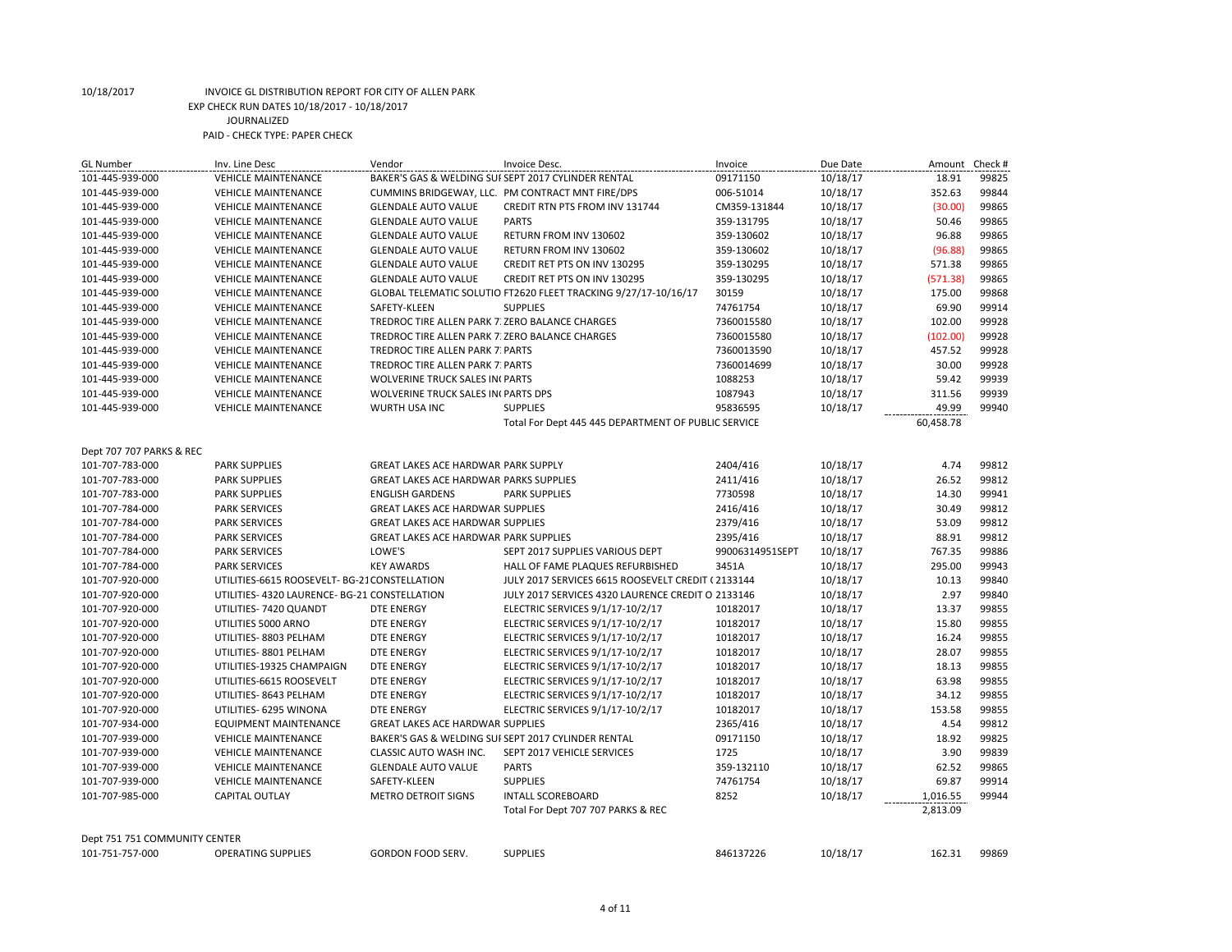| <b>GL Number</b>              | Inv. Line Desc                                | Vendor                                          | Invoice Desc.                                                   | Invoice         | Due Date | Amount    | Check # |
|-------------------------------|-----------------------------------------------|-------------------------------------------------|-----------------------------------------------------------------|-----------------|----------|-----------|---------|
| 101-445-939-000               | <b>VEHICLE MAINTENANCE</b>                    |                                                 | BAKER'S GAS & WELDING SUFSEPT 2017 CYLINDER RENTAL              | 09171150        | 10/18/17 | 18.91     | 99825   |
| 101-445-939-000               | <b>VEHICLE MAINTENANCE</b>                    |                                                 | CUMMINS BRIDGEWAY, LLC. PM CONTRACT MNT FIRE/DPS                | 006-51014       | 10/18/17 | 352.63    | 99844   |
| 101-445-939-000               | <b>VEHICLE MAINTENANCE</b>                    | <b>GLENDALE AUTO VALUE</b>                      | CREDIT RTN PTS FROM INV 131744                                  | CM359-131844    | 10/18/17 | (30.00)   | 99865   |
| 101-445-939-000               | <b>VEHICLE MAINTENANCE</b>                    | <b>GLENDALE AUTO VALUE</b>                      | <b>PARTS</b>                                                    | 359-131795      | 10/18/17 | 50.46     | 99865   |
| 101-445-939-000               | <b>VEHICLE MAINTENANCE</b>                    | <b>GLENDALE AUTO VALUE</b>                      | RETURN FROM INV 130602                                          | 359-130602      | 10/18/17 | 96.88     | 99865   |
| 101-445-939-000               | <b>VEHICLE MAINTENANCE</b>                    | <b>GLENDALE AUTO VALUE</b>                      | RETURN FROM INV 130602                                          | 359-130602      | 10/18/17 | (96.88)   | 99865   |
| 101-445-939-000               | <b>VEHICLE MAINTENANCE</b>                    | <b>GLENDALE AUTO VALUE</b>                      | CREDIT RET PTS ON INV 130295                                    | 359-130295      | 10/18/17 | 571.38    | 99865   |
| 101-445-939-000               | <b>VEHICLE MAINTENANCE</b>                    | <b>GLENDALE AUTO VALUE</b>                      | CREDIT RET PTS ON INV 130295                                    | 359-130295      | 10/18/17 | (571.38)  | 99865   |
| 101-445-939-000               | <b>VEHICLE MAINTENANCE</b>                    |                                                 | GLOBAL TELEMATIC SOLUTIO FT2620 FLEET TRACKING 9/27/17-10/16/17 | 30159           | 10/18/17 | 175.00    | 99868   |
| 101-445-939-000               | <b>VEHICLE MAINTENANCE</b>                    | SAFETY-KLEEN                                    | <b>SUPPLIES</b>                                                 | 74761754        | 10/18/17 | 69.90     | 99914   |
| 101-445-939-000               | <b>VEHICLE MAINTENANCE</b>                    | TREDROC TIRE ALLEN PARK 7: ZERO BALANCE CHARGES |                                                                 | 7360015580      | 10/18/17 | 102.00    | 99928   |
| 101-445-939-000               | <b>VEHICLE MAINTENANCE</b>                    | TREDROC TIRE ALLEN PARK 7: ZERO BALANCE CHARGES |                                                                 | 7360015580      | 10/18/17 | (102.00)  | 99928   |
| 101-445-939-000               | <b>VEHICLE MAINTENANCE</b>                    | <b>TREDROC TIRE ALLEN PARK 7: PARTS</b>         |                                                                 | 7360013590      | 10/18/17 | 457.52    | 99928   |
| 101-445-939-000               | <b>VEHICLE MAINTENANCE</b>                    | TREDROC TIRE ALLEN PARK 7: PARTS                |                                                                 | 7360014699      | 10/18/17 | 30.00     | 99928   |
| 101-445-939-000               | <b>VEHICLE MAINTENANCE</b>                    | <b>WOLVERINE TRUCK SALES IN PARTS</b>           |                                                                 | 1088253         | 10/18/17 | 59.42     | 99939   |
| 101-445-939-000               | <b>VEHICLE MAINTENANCE</b>                    | WOLVERINE TRUCK SALES IN PARTS DPS              |                                                                 | 1087943         | 10/18/17 | 311.56    | 99939   |
| 101-445-939-000               | <b>VEHICLE MAINTENANCE</b>                    | WURTH USA INC                                   | <b>SUPPLIES</b>                                                 | 95836595        | 10/18/17 | 49.99     | 99940   |
|                               |                                               |                                                 | Total For Dept 445 445 DEPARTMENT OF PUBLIC SERVICE             |                 |          | 60,458.78 |         |
|                               |                                               |                                                 |                                                                 |                 |          |           |         |
| Dept 707 707 PARKS & REC      |                                               |                                                 |                                                                 |                 |          |           |         |
| 101-707-783-000               | <b>PARK SUPPLIES</b>                          | GREAT LAKES ACE HARDWAR PARK SUPPLY             |                                                                 | 2404/416        | 10/18/17 | 4.74      | 99812   |
| 101-707-783-000               | <b>PARK SUPPLIES</b>                          | <b>GREAT LAKES ACE HARDWAR PARKS SUPPLIES</b>   |                                                                 | 2411/416        | 10/18/17 | 26.52     | 99812   |
| 101-707-783-000               | <b>PARK SUPPLIES</b>                          | <b>ENGLISH GARDENS</b>                          | <b>PARK SUPPLIES</b>                                            | 7730598         | 10/18/17 | 14.30     | 99941   |
| 101-707-784-000               | <b>PARK SERVICES</b>                          | <b>GREAT LAKES ACE HARDWAR SUPPLIES</b>         |                                                                 | 2416/416        | 10/18/17 | 30.49     | 99812   |
| 101-707-784-000               | <b>PARK SERVICES</b>                          | <b>GREAT LAKES ACE HARDWAR SUPPLIES</b>         |                                                                 | 2379/416        | 10/18/17 | 53.09     | 99812   |
| 101-707-784-000               | <b>PARK SERVICES</b>                          | <b>GREAT LAKES ACE HARDWAR PARK SUPPLIES</b>    |                                                                 | 2395/416        | 10/18/17 | 88.91     | 99812   |
| 101-707-784-000               | <b>PARK SERVICES</b>                          | LOWE'S                                          | SEPT 2017 SUPPLIES VARIOUS DEPT                                 | 99006314951SEPT | 10/18/17 | 767.35    | 99886   |
| 101-707-784-000               | <b>PARK SERVICES</b>                          | <b>KEY AWARDS</b>                               | HALL OF FAME PLAQUES REFURBISHED                                | 3451A           | 10/18/17 | 295.00    | 99943   |
| 101-707-920-000               | UTILITIES-6615 ROOSEVELT- BG-21 CONSTELLATION |                                                 | JULY 2017 SERVICES 6615 ROOSEVELT CREDIT (2133144               |                 | 10/18/17 | 10.13     | 99840   |
| 101-707-920-000               | UTILITIES-4320 LAURENCE-BG-21 CONSTELLATION   |                                                 | JULY 2017 SERVICES 4320 LAURENCE CREDIT O 2133146               |                 | 10/18/17 | 2.97      | 99840   |
| 101-707-920-000               | UTILITIES-7420 QUANDT                         | <b>DTE ENERGY</b>                               | ELECTRIC SERVICES 9/1/17-10/2/17                                | 10182017        | 10/18/17 | 13.37     | 99855   |
| 101-707-920-000               | UTILITIES 5000 ARNO                           | <b>DTE ENERGY</b>                               | ELECTRIC SERVICES 9/1/17-10/2/17                                | 10182017        | 10/18/17 | 15.80     | 99855   |
| 101-707-920-000               | UTILITIES-8803 PELHAM                         | DTE ENERGY                                      | ELECTRIC SERVICES 9/1/17-10/2/17                                | 10182017        | 10/18/17 | 16.24     | 99855   |
| 101-707-920-000               | UTILITIES-8801 PELHAM                         | DTE ENERGY                                      | ELECTRIC SERVICES 9/1/17-10/2/17                                | 10182017        | 10/18/17 | 28.07     | 99855   |
| 101-707-920-000               | UTILITIES-19325 CHAMPAIGN                     | DTE ENERGY                                      | ELECTRIC SERVICES 9/1/17-10/2/17                                | 10182017        | 10/18/17 | 18.13     | 99855   |
| 101-707-920-000               | UTILITIES-6615 ROOSEVELT                      | DTE ENERGY                                      | ELECTRIC SERVICES 9/1/17-10/2/17                                | 10182017        | 10/18/17 | 63.98     | 99855   |
| 101-707-920-000               | UTILITIES-8643 PELHAM                         | DTE ENERGY                                      | ELECTRIC SERVICES 9/1/17-10/2/17                                | 10182017        | 10/18/17 | 34.12     | 99855   |
| 101-707-920-000               | UTILITIES- 6295 WINONA                        | <b>DTE ENERGY</b>                               | ELECTRIC SERVICES 9/1/17-10/2/17                                | 10182017        | 10/18/17 | 153.58    | 99855   |
| 101-707-934-000               | <b>EQUIPMENT MAINTENANCE</b>                  | <b>GREAT LAKES ACE HARDWAR SUPPLIES</b>         |                                                                 | 2365/416        | 10/18/17 | 4.54      | 99812   |
| 101-707-939-000               | <b>VEHICLE MAINTENANCE</b>                    |                                                 | BAKER'S GAS & WELDING SUFSEPT 2017 CYLINDER RENTAL              | 09171150        | 10/18/17 | 18.92     | 99825   |
| 101-707-939-000               | <b>VEHICLE MAINTENANCE</b>                    | CLASSIC AUTO WASH INC.                          | SEPT 2017 VEHICLE SERVICES                                      | 1725            | 10/18/17 | 3.90      | 99839   |
| 101-707-939-000               | <b>VEHICLE MAINTENANCE</b>                    | <b>GLENDALE AUTO VALUE</b>                      | <b>PARTS</b>                                                    | 359-132110      | 10/18/17 | 62.52     | 99865   |
| 101-707-939-000               | <b>VEHICLE MAINTENANCE</b>                    | SAFETY-KLEEN                                    | <b>SUPPLIES</b>                                                 | 74761754        | 10/18/17 | 69.87     | 99914   |
| 101-707-985-000               | <b>CAPITAL OUTLAY</b>                         | <b>METRO DETROIT SIGNS</b>                      | <b>INTALL SCOREBOARD</b>                                        | 8252            | 10/18/17 | 1,016.55  | 99944   |
|                               |                                               |                                                 | Total For Dept 707 707 PARKS & REC                              |                 |          | 2,813.09  |         |
|                               |                                               |                                                 |                                                                 |                 |          |           |         |
| Dept 751 751 COMMUNITY CENTER |                                               |                                                 |                                                                 |                 |          |           |         |
| 101-751-757-000               | <b>OPERATING SUPPLIES</b>                     | <b>GORDON FOOD SERV.</b>                        | <b>SUPPLIES</b>                                                 | 846137226       | 10/18/17 | 162.31    | 99869   |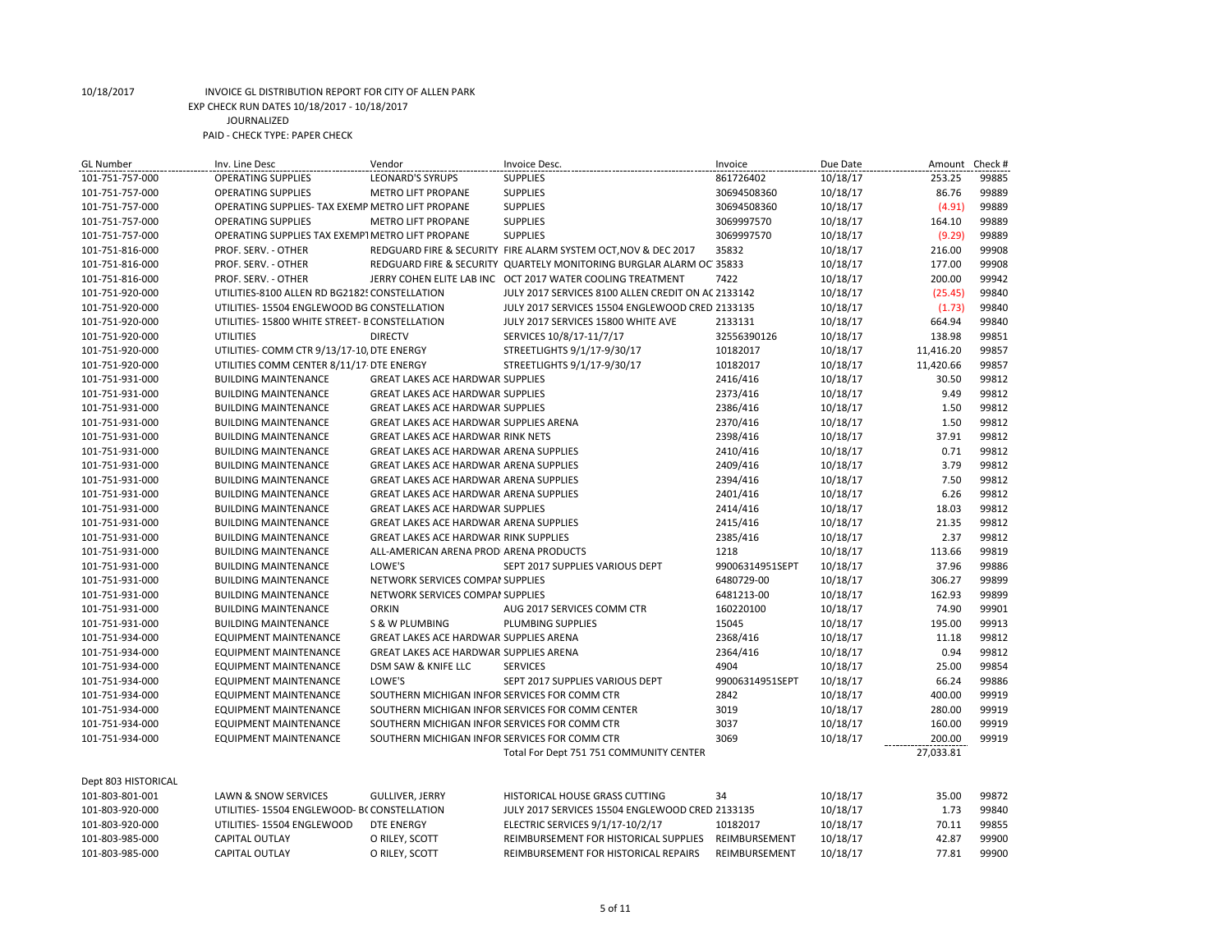| <b>GL Number</b>    | Inv. Line Desc                                   | Vendor                                        | Invoice Desc.                                                       | Invoice         | Due Date | Amount    | Check # |
|---------------------|--------------------------------------------------|-----------------------------------------------|---------------------------------------------------------------------|-----------------|----------|-----------|---------|
| 101-751-757-000     | <b>OPERATING SUPPLIES</b>                        | <b>LEONARD'S SYRUPS</b>                       | <b>SUPPLIES</b>                                                     | 861726402       | 10/18/17 | 253.25    | 99885   |
| 101-751-757-000     | <b>OPERATING SUPPLIES</b>                        | <b>METRO LIFT PROPANE</b>                     | <b>SUPPLIES</b>                                                     | 30694508360     | 10/18/17 | 86.76     | 99889   |
| 101-751-757-000     | OPERATING SUPPLIES- TAX EXEMP METRO LIFT PROPANE |                                               | <b>SUPPLIES</b>                                                     | 30694508360     | 10/18/17 | (4.91)    | 99889   |
| 101-751-757-000     | <b>OPERATING SUPPLIES</b>                        | <b>METRO LIFT PROPANE</b>                     | <b>SUPPLIES</b>                                                     | 3069997570      | 10/18/17 | 164.10    | 99889   |
| 101-751-757-000     | OPERATING SUPPLIES TAX EXEMP1 METRO LIFT PROPANE |                                               | <b>SUPPLIES</b>                                                     | 3069997570      | 10/18/17 | (9.29)    | 99889   |
| 101-751-816-000     | PROF. SERV. - OTHER                              |                                               | REDGUARD FIRE & SECURITY FIRE ALARM SYSTEM OCT, NOV & DEC 2017      | 35832           | 10/18/17 | 216.00    | 99908   |
| 101-751-816-000     | PROF. SERV. - OTHER                              |                                               | REDGUARD FIRE & SECURITY QUARTELY MONITORING BURGLAR ALARM OC 35833 |                 | 10/18/17 | 177.00    | 99908   |
| 101-751-816-000     | PROF. SERV. - OTHER                              |                                               | JERRY COHEN ELITE LAB INC OCT 2017 WATER COOLING TREATMENT          | 7422            | 10/18/17 | 200.00    | 99942   |
| 101-751-920-000     | UTILITIES-8100 ALLEN RD BG2182! CONSTELLATION    |                                               | JULY 2017 SERVICES 8100 ALLEN CREDIT ON AC 2133142                  |                 | 10/18/17 | (25.45)   | 99840   |
| 101-751-920-000     | UTILITIES-15504 ENGLEWOOD BG CONSTELLATION       |                                               | JULY 2017 SERVICES 15504 ENGLEWOOD CRED 2133135                     |                 | 10/18/17 | (1.73)    | 99840   |
| 101-751-920-000     | UTILITIES-15800 WHITE STREET- E CONSTELLATION    |                                               | JULY 2017 SERVICES 15800 WHITE AVE                                  | 2133131         | 10/18/17 | 664.94    | 99840   |
| 101-751-920-000     | <b>UTILITIES</b>                                 | <b>DIRECTV</b>                                | SERVICES 10/8/17-11/7/17                                            | 32556390126     | 10/18/17 | 138.98    | 99851   |
| 101-751-920-000     | UTILITIES- COMM CTR 9/13/17-10, DTE ENERGY       |                                               | STREETLIGHTS 9/1/17-9/30/17                                         | 10182017        | 10/18/17 | 11,416.20 | 99857   |
| 101-751-920-000     | UTILITIES COMM CENTER 8/11/17 DTE ENERGY         |                                               | STREETLIGHTS 9/1/17-9/30/17                                         | 10182017        | 10/18/17 | 11,420.66 | 99857   |
| 101-751-931-000     | <b>BUILDING MAINTENANCE</b>                      | <b>GREAT LAKES ACE HARDWAR SUPPLIES</b>       |                                                                     | 2416/416        | 10/18/17 | 30.50     | 99812   |
| 101-751-931-000     | <b>BUILDING MAINTENANCE</b>                      | <b>GREAT LAKES ACE HARDWAR SUPPLIES</b>       |                                                                     | 2373/416        | 10/18/17 | 9.49      | 99812   |
| 101-751-931-000     | <b>BUILDING MAINTENANCE</b>                      | <b>GREAT LAKES ACE HARDWAR SUPPLIES</b>       |                                                                     | 2386/416        | 10/18/17 | 1.50      | 99812   |
| 101-751-931-000     | <b>BUILDING MAINTENANCE</b>                      | GREAT LAKES ACE HARDWAR SUPPLIES ARENA        |                                                                     | 2370/416        | 10/18/17 | 1.50      | 99812   |
| 101-751-931-000     | <b>BUILDING MAINTENANCE</b>                      | <b>GREAT LAKES ACE HARDWAR RINK NETS</b>      |                                                                     | 2398/416        | 10/18/17 | 37.91     | 99812   |
| 101-751-931-000     | <b>BUILDING MAINTENANCE</b>                      | <b>GREAT LAKES ACE HARDWAR ARENA SUPPLIES</b> |                                                                     | 2410/416        | 10/18/17 | 0.71      | 99812   |
| 101-751-931-000     | <b>BUILDING MAINTENANCE</b>                      | GREAT LAKES ACE HARDWAR ARENA SUPPLIES        |                                                                     | 2409/416        | 10/18/17 | 3.79      | 99812   |
| 101-751-931-000     | <b>BUILDING MAINTENANCE</b>                      | GREAT LAKES ACE HARDWAR ARENA SUPPLIES        |                                                                     | 2394/416        | 10/18/17 | 7.50      | 99812   |
| 101-751-931-000     | <b>BUILDING MAINTENANCE</b>                      | <b>GREAT LAKES ACE HARDWAR ARENA SUPPLIES</b> |                                                                     | 2401/416        | 10/18/17 | 6.26      | 99812   |
| 101-751-931-000     | <b>BUILDING MAINTENANCE</b>                      | <b>GREAT LAKES ACE HARDWAR SUPPLIES</b>       |                                                                     | 2414/416        | 10/18/17 | 18.03     | 99812   |
| 101-751-931-000     | <b>BUILDING MAINTENANCE</b>                      | <b>GREAT LAKES ACE HARDWAR ARENA SUPPLIES</b> |                                                                     | 2415/416        | 10/18/17 | 21.35     | 99812   |
| 101-751-931-000     | <b>BUILDING MAINTENANCE</b>                      | <b>GREAT LAKES ACE HARDWAR RINK SUPPLIES</b>  |                                                                     | 2385/416        | 10/18/17 | 2.37      | 99812   |
| 101-751-931-000     | <b>BUILDING MAINTENANCE</b>                      | ALL-AMERICAN ARENA PRODI ARENA PRODUCTS       |                                                                     | 1218            | 10/18/17 | 113.66    | 99819   |
| 101-751-931-000     | <b>BUILDING MAINTENANCE</b>                      | LOWE'S                                        | SEPT 2017 SUPPLIES VARIOUS DEPT                                     | 99006314951SEPT | 10/18/17 | 37.96     | 99886   |
| 101-751-931-000     | <b>BUILDING MAINTENANCE</b>                      | NETWORK SERVICES COMPAI SUPPLIES              |                                                                     | 6480729-00      | 10/18/17 | 306.27    | 99899   |
| 101-751-931-000     | <b>BUILDING MAINTENANCE</b>                      | NETWORK SERVICES COMPAI SUPPLIES              |                                                                     | 6481213-00      | 10/18/17 | 162.93    | 99899   |
| 101-751-931-000     | <b>BUILDING MAINTENANCE</b>                      | <b>ORKIN</b>                                  | AUG 2017 SERVICES COMM CTR                                          | 160220100       | 10/18/17 | 74.90     | 99901   |
| 101-751-931-000     | <b>BUILDING MAINTENANCE</b>                      | S & W PLUMBING                                | PLUMBING SUPPLIES                                                   | 15045           | 10/18/17 | 195.00    | 99913   |
| 101-751-934-000     | <b>EQUIPMENT MAINTENANCE</b>                     | GREAT LAKES ACE HARDWAR SUPPLIES ARENA        |                                                                     | 2368/416        | 10/18/17 | 11.18     | 99812   |
| 101-751-934-000     | <b>EQUIPMENT MAINTENANCE</b>                     | GREAT LAKES ACE HARDWAR SUPPLIES ARENA        |                                                                     | 2364/416        | 10/18/17 | 0.94      | 99812   |
| 101-751-934-000     | <b>EQUIPMENT MAINTENANCE</b>                     | DSM SAW & KNIFE LLC                           | <b>SERVICES</b>                                                     | 4904            | 10/18/17 | 25.00     | 99854   |
| 101-751-934-000     | <b>EQUIPMENT MAINTENANCE</b>                     | LOWE'S                                        | SEPT 2017 SUPPLIES VARIOUS DEPT                                     | 99006314951SEPT | 10/18/17 | 66.24     | 99886   |
| 101-751-934-000     | <b>EQUIPMENT MAINTENANCE</b>                     | SOUTHERN MICHIGAN INFOR SERVICES FOR COMM CTR |                                                                     | 2842            | 10/18/17 | 400.00    | 99919   |
| 101-751-934-000     | <b>EQUIPMENT MAINTENANCE</b>                     |                                               | SOUTHERN MICHIGAN INFOR SERVICES FOR COMM CENTER                    | 3019            | 10/18/17 | 280.00    | 99919   |
| 101-751-934-000     | <b>EQUIPMENT MAINTENANCE</b>                     | SOUTHERN MICHIGAN INFOR SERVICES FOR COMM CTR |                                                                     | 3037            | 10/18/17 | 160.00    | 99919   |
| 101-751-934-000     | <b>EQUIPMENT MAINTENANCE</b>                     | SOUTHERN MICHIGAN INFOR SERVICES FOR COMM CTR |                                                                     | 3069            | 10/18/17 | 200.00    | 99919   |
|                     |                                                  |                                               |                                                                     |                 |          |           |         |
|                     |                                                  |                                               | Total For Dept 751 751 COMMUNITY CENTER                             |                 |          | 27,033.81 |         |
| Dept 803 HISTORICAL |                                                  |                                               |                                                                     |                 |          |           |         |
| 101-803-801-001     | LAWN & SNOW SERVICES                             | <b>GULLIVER, JERRY</b>                        | HISTORICAL HOUSE GRASS CUTTING                                      | 34              | 10/18/17 | 35.00     | 99872   |
| 101-803-920-000     | UTILITIES-15504 ENGLEWOOD- BCCONSTELLATION       |                                               | JULY 2017 SERVICES 15504 ENGLEWOOD CRED 2133135                     |                 | 10/18/17 | 1.73      | 99840   |
| 101-803-920-000     | UTILITIES- 15504 ENGLEWOOD                       | DTE ENERGY                                    | ELECTRIC SERVICES 9/1/17-10/2/17                                    | 10182017        | 10/18/17 | 70.11     | 99855   |
| 101-803-985-000     | <b>CAPITAL OUTLAY</b>                            | O RILEY, SCOTT                                | REIMBURSEMENT FOR HISTORICAL SUPPLIES                               | REIMBURSEMENT   | 10/18/17 | 42.87     | 99900   |
| 101-803-985-000     | <b>CAPITAL OUTLAY</b>                            | O RILEY, SCOTT                                | REIMBURSEMENT FOR HISTORICAL REPAIRS                                | REIMBURSEMENT   | 10/18/17 | 77.81     | 99900   |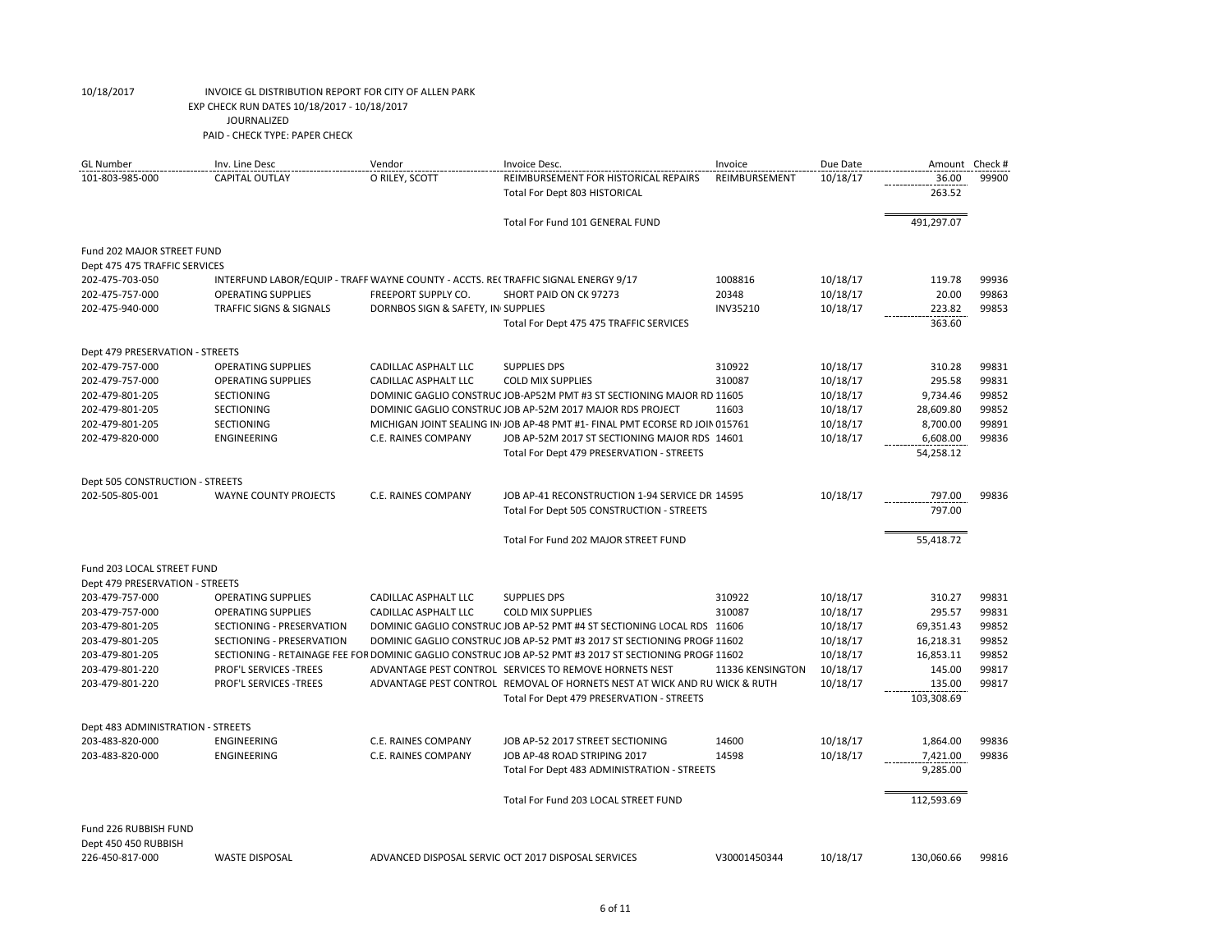| 101-803-985-000<br><b>CAPITAL OUTLAY</b><br>O RILEY, SCOTT<br>36.00<br>REIMBURSEMENT FOR HISTORICAL REPAIRS<br>REIMBURSEMENT<br>10/18/17<br>263.52<br>Total For Dept 803 HISTORICAL<br>491,297.07<br>Total For Fund 101 GENERAL FUND<br>Fund 202 MAJOR STREET FUND<br>Dept 475 475 TRAFFIC SERVICES<br>1008816<br>119.78<br>202-475-703-050<br>INTERFUND LABOR/EQUIP - TRAFF WAYNE COUNTY - ACCTS. RECTRAFFIC SIGNAL ENERGY 9/17<br>10/18/17<br>202-475-757-000<br><b>OPERATING SUPPLIES</b><br>FREEPORT SUPPLY CO.<br>SHORT PAID ON CK 97273<br>20348<br>10/18/17<br>20.00<br><b>TRAFFIC SIGNS &amp; SIGNALS</b><br>DORNBOS SIGN & SAFETY, IN SUPPLIES<br>INV35210<br>10/18/17<br>223.82<br>202-475-940-000<br>Total For Dept 475 475 TRAFFIC SERVICES<br>363.60<br>Dept 479 PRESERVATION - STREETS<br>202-479-757-000<br><b>OPERATING SUPPLIES</b><br>CADILLAC ASPHALT LLC<br>310922<br>10/18/17<br>310.28<br><b>SUPPLIES DPS</b><br>310087<br>295.58<br>202-479-757-000<br><b>OPERATING SUPPLIES</b><br><b>CADILLAC ASPHALT LLC</b><br><b>COLD MIX SUPPLIES</b><br>10/18/17<br>202-479-801-205<br>SECTIONING<br>DOMINIC GAGLIO CONSTRUC JOB-AP52M PMT #3 ST SECTIONING MAJOR RD 11605<br>10/18/17<br>9,734.46<br>DOMINIC GAGLIO CONSTRUC JOB AP-52M 2017 MAJOR RDS PROJECT<br>11603<br>28,609.80<br>202-479-801-205<br><b>SECTIONING</b><br>10/18/17<br>8,700.00<br>202-479-801-205<br><b>SECTIONING</b><br>MICHIGAN JOINT SEALING IN JOB AP-48 PMT #1- FINAL PMT ECORSE RD JOIN 015761<br>10/18/17<br>202-479-820-000<br><b>C.E. RAINES COMPANY</b><br>10/18/17<br><b>ENGINEERING</b><br>JOB AP-52M 2017 ST SECTIONING MAJOR RDS 14601<br>6,608.00<br>Total For Dept 479 PRESERVATION - STREETS<br>54,258.12<br>Dept 505 CONSTRUCTION - STREETS<br>202-505-805-001<br><b>WAYNE COUNTY PROJECTS</b><br><b>C.E. RAINES COMPANY</b><br>10/18/17<br>797.00<br>JOB AP-41 RECONSTRUCTION 1-94 SERVICE DR 14595<br>797.00<br>Total For Dept 505 CONSTRUCTION - STREETS<br>Total For Fund 202 MAJOR STREET FUND<br>55,418.72<br>Fund 203 LOCAL STREET FUND<br>Dept 479 PRESERVATION - STREETS<br>203-479-757-000<br><b>OPERATING SUPPLIES</b><br><b>CADILLAC ASPHALT LLC</b><br><b>SUPPLIES DPS</b><br>310922<br>10/18/17<br>310.27<br>310087<br>203-479-757-000<br><b>OPERATING SUPPLIES</b><br><b>CADILLAC ASPHALT LLC</b><br>10/18/17<br>295.57<br><b>COLD MIX SUPPLIES</b><br>203-479-801-205<br>SECTIONING - PRESERVATION<br>DOMINIC GAGLIO CONSTRUC JOB AP-52 PMT #4 ST SECTIONING LOCAL RDS 11606<br>10/18/17<br>69,351.43<br>DOMINIC GAGLIO CONSTRUC JOB AP-52 PMT #3 2017 ST SECTIONING PROGF 11602<br>203-479-801-205<br>SECTIONING - PRESERVATION<br>10/18/17<br>16,218.31<br>SECTIONING - RETAINAGE FEE FOF DOMINIC GAGLIO CONSTRUC JOB AP-52 PMT #3 2017 ST SECTIONING PROGF 11602<br>16,853.11<br>203-479-801-205<br>10/18/17<br>203-479-801-220<br>PROF'L SERVICES - TREES<br>ADVANTAGE PEST CONTROL SERVICES TO REMOVE HORNETS NEST<br>10/18/17<br>145.00<br>11336 KENSINGTON<br>PROF'L SERVICES - TREES<br>203-479-801-220<br>ADVANTAGE PEST CONTROL REMOVAL OF HORNETS NEST AT WICK AND RU WICK & RUTH<br>10/18/17<br>135.00<br>103,308.69<br>Total For Dept 479 PRESERVATION - STREETS<br>Dept 483 ADMINISTRATION - STREETS<br>203-483-820-000<br><b>ENGINEERING</b><br><b>C.E. RAINES COMPANY</b><br>JOB AP-52 2017 STREET SECTIONING<br>14600<br>10/18/17<br>1,864.00<br>10/18/17<br>203-483-820-000<br><b>ENGINEERING</b><br>C.E. RAINES COMPANY<br>JOB AP-48 ROAD STRIPING 2017<br>14598<br>7,421.00<br>9,285.00<br>Total For Dept 483 ADMINISTRATION - STREETS<br>112,593.69<br>Total For Fund 203 LOCAL STREET FUND<br>Fund 226 RUBBISH FUND | <b>GL Number</b> | Inv. Line Desc | Vendor | Invoice Desc. | Invoice | Due Date | Amount Check # |       |
|-------------------------------------------------------------------------------------------------------------------------------------------------------------------------------------------------------------------------------------------------------------------------------------------------------------------------------------------------------------------------------------------------------------------------------------------------------------------------------------------------------------------------------------------------------------------------------------------------------------------------------------------------------------------------------------------------------------------------------------------------------------------------------------------------------------------------------------------------------------------------------------------------------------------------------------------------------------------------------------------------------------------------------------------------------------------------------------------------------------------------------------------------------------------------------------------------------------------------------------------------------------------------------------------------------------------------------------------------------------------------------------------------------------------------------------------------------------------------------------------------------------------------------------------------------------------------------------------------------------------------------------------------------------------------------------------------------------------------------------------------------------------------------------------------------------------------------------------------------------------------------------------------------------------------------------------------------------------------------------------------------------------------------------------------------------------------------------------------------------------------------------------------------------------------------------------------------------------------------------------------------------------------------------------------------------------------------------------------------------------------------------------------------------------------------------------------------------------------------------------------------------------------------------------------------------------------------------------------------------------------------------------------------------------------------------------------------------------------------------------------------------------------------------------------------------------------------------------------------------------------------------------------------------------------------------------------------------------------------------------------------------------------------------------------------------------------------------------------------------------------------------------------------------------------------------------------------------------------------------------------------------------------------------------------------------------------------------------------------------------------------------------------------------------------------------------------------------------------------------------------------------------------------------------------------------------------------------------------------------------------------------------------------------------|------------------|----------------|--------|---------------|---------|----------|----------------|-------|
|                                                                                                                                                                                                                                                                                                                                                                                                                                                                                                                                                                                                                                                                                                                                                                                                                                                                                                                                                                                                                                                                                                                                                                                                                                                                                                                                                                                                                                                                                                                                                                                                                                                                                                                                                                                                                                                                                                                                                                                                                                                                                                                                                                                                                                                                                                                                                                                                                                                                                                                                                                                                                                                                                                                                                                                                                                                                                                                                                                                                                                                                                                                                                                                                                                                                                                                                                                                                                                                                                                                                                                                                                                                                   |                  |                |        |               |         |          |                | 99900 |
|                                                                                                                                                                                                                                                                                                                                                                                                                                                                                                                                                                                                                                                                                                                                                                                                                                                                                                                                                                                                                                                                                                                                                                                                                                                                                                                                                                                                                                                                                                                                                                                                                                                                                                                                                                                                                                                                                                                                                                                                                                                                                                                                                                                                                                                                                                                                                                                                                                                                                                                                                                                                                                                                                                                                                                                                                                                                                                                                                                                                                                                                                                                                                                                                                                                                                                                                                                                                                                                                                                                                                                                                                                                                   |                  |                |        |               |         |          |                |       |
|                                                                                                                                                                                                                                                                                                                                                                                                                                                                                                                                                                                                                                                                                                                                                                                                                                                                                                                                                                                                                                                                                                                                                                                                                                                                                                                                                                                                                                                                                                                                                                                                                                                                                                                                                                                                                                                                                                                                                                                                                                                                                                                                                                                                                                                                                                                                                                                                                                                                                                                                                                                                                                                                                                                                                                                                                                                                                                                                                                                                                                                                                                                                                                                                                                                                                                                                                                                                                                                                                                                                                                                                                                                                   |                  |                |        |               |         |          |                |       |
|                                                                                                                                                                                                                                                                                                                                                                                                                                                                                                                                                                                                                                                                                                                                                                                                                                                                                                                                                                                                                                                                                                                                                                                                                                                                                                                                                                                                                                                                                                                                                                                                                                                                                                                                                                                                                                                                                                                                                                                                                                                                                                                                                                                                                                                                                                                                                                                                                                                                                                                                                                                                                                                                                                                                                                                                                                                                                                                                                                                                                                                                                                                                                                                                                                                                                                                                                                                                                                                                                                                                                                                                                                                                   |                  |                |        |               |         |          |                |       |
|                                                                                                                                                                                                                                                                                                                                                                                                                                                                                                                                                                                                                                                                                                                                                                                                                                                                                                                                                                                                                                                                                                                                                                                                                                                                                                                                                                                                                                                                                                                                                                                                                                                                                                                                                                                                                                                                                                                                                                                                                                                                                                                                                                                                                                                                                                                                                                                                                                                                                                                                                                                                                                                                                                                                                                                                                                                                                                                                                                                                                                                                                                                                                                                                                                                                                                                                                                                                                                                                                                                                                                                                                                                                   |                  |                |        |               |         |          |                |       |
|                                                                                                                                                                                                                                                                                                                                                                                                                                                                                                                                                                                                                                                                                                                                                                                                                                                                                                                                                                                                                                                                                                                                                                                                                                                                                                                                                                                                                                                                                                                                                                                                                                                                                                                                                                                                                                                                                                                                                                                                                                                                                                                                                                                                                                                                                                                                                                                                                                                                                                                                                                                                                                                                                                                                                                                                                                                                                                                                                                                                                                                                                                                                                                                                                                                                                                                                                                                                                                                                                                                                                                                                                                                                   |                  |                |        |               |         |          |                | 99936 |
|                                                                                                                                                                                                                                                                                                                                                                                                                                                                                                                                                                                                                                                                                                                                                                                                                                                                                                                                                                                                                                                                                                                                                                                                                                                                                                                                                                                                                                                                                                                                                                                                                                                                                                                                                                                                                                                                                                                                                                                                                                                                                                                                                                                                                                                                                                                                                                                                                                                                                                                                                                                                                                                                                                                                                                                                                                                                                                                                                                                                                                                                                                                                                                                                                                                                                                                                                                                                                                                                                                                                                                                                                                                                   |                  |                |        |               |         |          |                | 99863 |
|                                                                                                                                                                                                                                                                                                                                                                                                                                                                                                                                                                                                                                                                                                                                                                                                                                                                                                                                                                                                                                                                                                                                                                                                                                                                                                                                                                                                                                                                                                                                                                                                                                                                                                                                                                                                                                                                                                                                                                                                                                                                                                                                                                                                                                                                                                                                                                                                                                                                                                                                                                                                                                                                                                                                                                                                                                                                                                                                                                                                                                                                                                                                                                                                                                                                                                                                                                                                                                                                                                                                                                                                                                                                   |                  |                |        |               |         |          |                | 99853 |
|                                                                                                                                                                                                                                                                                                                                                                                                                                                                                                                                                                                                                                                                                                                                                                                                                                                                                                                                                                                                                                                                                                                                                                                                                                                                                                                                                                                                                                                                                                                                                                                                                                                                                                                                                                                                                                                                                                                                                                                                                                                                                                                                                                                                                                                                                                                                                                                                                                                                                                                                                                                                                                                                                                                                                                                                                                                                                                                                                                                                                                                                                                                                                                                                                                                                                                                                                                                                                                                                                                                                                                                                                                                                   |                  |                |        |               |         |          |                |       |
|                                                                                                                                                                                                                                                                                                                                                                                                                                                                                                                                                                                                                                                                                                                                                                                                                                                                                                                                                                                                                                                                                                                                                                                                                                                                                                                                                                                                                                                                                                                                                                                                                                                                                                                                                                                                                                                                                                                                                                                                                                                                                                                                                                                                                                                                                                                                                                                                                                                                                                                                                                                                                                                                                                                                                                                                                                                                                                                                                                                                                                                                                                                                                                                                                                                                                                                                                                                                                                                                                                                                                                                                                                                                   |                  |                |        |               |         |          |                |       |
|                                                                                                                                                                                                                                                                                                                                                                                                                                                                                                                                                                                                                                                                                                                                                                                                                                                                                                                                                                                                                                                                                                                                                                                                                                                                                                                                                                                                                                                                                                                                                                                                                                                                                                                                                                                                                                                                                                                                                                                                                                                                                                                                                                                                                                                                                                                                                                                                                                                                                                                                                                                                                                                                                                                                                                                                                                                                                                                                                                                                                                                                                                                                                                                                                                                                                                                                                                                                                                                                                                                                                                                                                                                                   |                  |                |        |               |         |          |                | 99831 |
|                                                                                                                                                                                                                                                                                                                                                                                                                                                                                                                                                                                                                                                                                                                                                                                                                                                                                                                                                                                                                                                                                                                                                                                                                                                                                                                                                                                                                                                                                                                                                                                                                                                                                                                                                                                                                                                                                                                                                                                                                                                                                                                                                                                                                                                                                                                                                                                                                                                                                                                                                                                                                                                                                                                                                                                                                                                                                                                                                                                                                                                                                                                                                                                                                                                                                                                                                                                                                                                                                                                                                                                                                                                                   |                  |                |        |               |         |          |                | 99831 |
|                                                                                                                                                                                                                                                                                                                                                                                                                                                                                                                                                                                                                                                                                                                                                                                                                                                                                                                                                                                                                                                                                                                                                                                                                                                                                                                                                                                                                                                                                                                                                                                                                                                                                                                                                                                                                                                                                                                                                                                                                                                                                                                                                                                                                                                                                                                                                                                                                                                                                                                                                                                                                                                                                                                                                                                                                                                                                                                                                                                                                                                                                                                                                                                                                                                                                                                                                                                                                                                                                                                                                                                                                                                                   |                  |                |        |               |         |          |                | 99852 |
|                                                                                                                                                                                                                                                                                                                                                                                                                                                                                                                                                                                                                                                                                                                                                                                                                                                                                                                                                                                                                                                                                                                                                                                                                                                                                                                                                                                                                                                                                                                                                                                                                                                                                                                                                                                                                                                                                                                                                                                                                                                                                                                                                                                                                                                                                                                                                                                                                                                                                                                                                                                                                                                                                                                                                                                                                                                                                                                                                                                                                                                                                                                                                                                                                                                                                                                                                                                                                                                                                                                                                                                                                                                                   |                  |                |        |               |         |          |                | 99852 |
|                                                                                                                                                                                                                                                                                                                                                                                                                                                                                                                                                                                                                                                                                                                                                                                                                                                                                                                                                                                                                                                                                                                                                                                                                                                                                                                                                                                                                                                                                                                                                                                                                                                                                                                                                                                                                                                                                                                                                                                                                                                                                                                                                                                                                                                                                                                                                                                                                                                                                                                                                                                                                                                                                                                                                                                                                                                                                                                                                                                                                                                                                                                                                                                                                                                                                                                                                                                                                                                                                                                                                                                                                                                                   |                  |                |        |               |         |          |                | 99891 |
|                                                                                                                                                                                                                                                                                                                                                                                                                                                                                                                                                                                                                                                                                                                                                                                                                                                                                                                                                                                                                                                                                                                                                                                                                                                                                                                                                                                                                                                                                                                                                                                                                                                                                                                                                                                                                                                                                                                                                                                                                                                                                                                                                                                                                                                                                                                                                                                                                                                                                                                                                                                                                                                                                                                                                                                                                                                                                                                                                                                                                                                                                                                                                                                                                                                                                                                                                                                                                                                                                                                                                                                                                                                                   |                  |                |        |               |         |          |                | 99836 |
|                                                                                                                                                                                                                                                                                                                                                                                                                                                                                                                                                                                                                                                                                                                                                                                                                                                                                                                                                                                                                                                                                                                                                                                                                                                                                                                                                                                                                                                                                                                                                                                                                                                                                                                                                                                                                                                                                                                                                                                                                                                                                                                                                                                                                                                                                                                                                                                                                                                                                                                                                                                                                                                                                                                                                                                                                                                                                                                                                                                                                                                                                                                                                                                                                                                                                                                                                                                                                                                                                                                                                                                                                                                                   |                  |                |        |               |         |          |                |       |
|                                                                                                                                                                                                                                                                                                                                                                                                                                                                                                                                                                                                                                                                                                                                                                                                                                                                                                                                                                                                                                                                                                                                                                                                                                                                                                                                                                                                                                                                                                                                                                                                                                                                                                                                                                                                                                                                                                                                                                                                                                                                                                                                                                                                                                                                                                                                                                                                                                                                                                                                                                                                                                                                                                                                                                                                                                                                                                                                                                                                                                                                                                                                                                                                                                                                                                                                                                                                                                                                                                                                                                                                                                                                   |                  |                |        |               |         |          |                |       |
|                                                                                                                                                                                                                                                                                                                                                                                                                                                                                                                                                                                                                                                                                                                                                                                                                                                                                                                                                                                                                                                                                                                                                                                                                                                                                                                                                                                                                                                                                                                                                                                                                                                                                                                                                                                                                                                                                                                                                                                                                                                                                                                                                                                                                                                                                                                                                                                                                                                                                                                                                                                                                                                                                                                                                                                                                                                                                                                                                                                                                                                                                                                                                                                                                                                                                                                                                                                                                                                                                                                                                                                                                                                                   |                  |                |        |               |         |          |                | 99836 |
|                                                                                                                                                                                                                                                                                                                                                                                                                                                                                                                                                                                                                                                                                                                                                                                                                                                                                                                                                                                                                                                                                                                                                                                                                                                                                                                                                                                                                                                                                                                                                                                                                                                                                                                                                                                                                                                                                                                                                                                                                                                                                                                                                                                                                                                                                                                                                                                                                                                                                                                                                                                                                                                                                                                                                                                                                                                                                                                                                                                                                                                                                                                                                                                                                                                                                                                                                                                                                                                                                                                                                                                                                                                                   |                  |                |        |               |         |          |                |       |
|                                                                                                                                                                                                                                                                                                                                                                                                                                                                                                                                                                                                                                                                                                                                                                                                                                                                                                                                                                                                                                                                                                                                                                                                                                                                                                                                                                                                                                                                                                                                                                                                                                                                                                                                                                                                                                                                                                                                                                                                                                                                                                                                                                                                                                                                                                                                                                                                                                                                                                                                                                                                                                                                                                                                                                                                                                                                                                                                                                                                                                                                                                                                                                                                                                                                                                                                                                                                                                                                                                                                                                                                                                                                   |                  |                |        |               |         |          |                |       |
|                                                                                                                                                                                                                                                                                                                                                                                                                                                                                                                                                                                                                                                                                                                                                                                                                                                                                                                                                                                                                                                                                                                                                                                                                                                                                                                                                                                                                                                                                                                                                                                                                                                                                                                                                                                                                                                                                                                                                                                                                                                                                                                                                                                                                                                                                                                                                                                                                                                                                                                                                                                                                                                                                                                                                                                                                                                                                                                                                                                                                                                                                                                                                                                                                                                                                                                                                                                                                                                                                                                                                                                                                                                                   |                  |                |        |               |         |          |                |       |
|                                                                                                                                                                                                                                                                                                                                                                                                                                                                                                                                                                                                                                                                                                                                                                                                                                                                                                                                                                                                                                                                                                                                                                                                                                                                                                                                                                                                                                                                                                                                                                                                                                                                                                                                                                                                                                                                                                                                                                                                                                                                                                                                                                                                                                                                                                                                                                                                                                                                                                                                                                                                                                                                                                                                                                                                                                                                                                                                                                                                                                                                                                                                                                                                                                                                                                                                                                                                                                                                                                                                                                                                                                                                   |                  |                |        |               |         |          |                |       |
|                                                                                                                                                                                                                                                                                                                                                                                                                                                                                                                                                                                                                                                                                                                                                                                                                                                                                                                                                                                                                                                                                                                                                                                                                                                                                                                                                                                                                                                                                                                                                                                                                                                                                                                                                                                                                                                                                                                                                                                                                                                                                                                                                                                                                                                                                                                                                                                                                                                                                                                                                                                                                                                                                                                                                                                                                                                                                                                                                                                                                                                                                                                                                                                                                                                                                                                                                                                                                                                                                                                                                                                                                                                                   |                  |                |        |               |         |          |                | 99831 |
|                                                                                                                                                                                                                                                                                                                                                                                                                                                                                                                                                                                                                                                                                                                                                                                                                                                                                                                                                                                                                                                                                                                                                                                                                                                                                                                                                                                                                                                                                                                                                                                                                                                                                                                                                                                                                                                                                                                                                                                                                                                                                                                                                                                                                                                                                                                                                                                                                                                                                                                                                                                                                                                                                                                                                                                                                                                                                                                                                                                                                                                                                                                                                                                                                                                                                                                                                                                                                                                                                                                                                                                                                                                                   |                  |                |        |               |         |          |                | 99831 |
|                                                                                                                                                                                                                                                                                                                                                                                                                                                                                                                                                                                                                                                                                                                                                                                                                                                                                                                                                                                                                                                                                                                                                                                                                                                                                                                                                                                                                                                                                                                                                                                                                                                                                                                                                                                                                                                                                                                                                                                                                                                                                                                                                                                                                                                                                                                                                                                                                                                                                                                                                                                                                                                                                                                                                                                                                                                                                                                                                                                                                                                                                                                                                                                                                                                                                                                                                                                                                                                                                                                                                                                                                                                                   |                  |                |        |               |         |          |                | 99852 |
|                                                                                                                                                                                                                                                                                                                                                                                                                                                                                                                                                                                                                                                                                                                                                                                                                                                                                                                                                                                                                                                                                                                                                                                                                                                                                                                                                                                                                                                                                                                                                                                                                                                                                                                                                                                                                                                                                                                                                                                                                                                                                                                                                                                                                                                                                                                                                                                                                                                                                                                                                                                                                                                                                                                                                                                                                                                                                                                                                                                                                                                                                                                                                                                                                                                                                                                                                                                                                                                                                                                                                                                                                                                                   |                  |                |        |               |         |          |                | 99852 |
|                                                                                                                                                                                                                                                                                                                                                                                                                                                                                                                                                                                                                                                                                                                                                                                                                                                                                                                                                                                                                                                                                                                                                                                                                                                                                                                                                                                                                                                                                                                                                                                                                                                                                                                                                                                                                                                                                                                                                                                                                                                                                                                                                                                                                                                                                                                                                                                                                                                                                                                                                                                                                                                                                                                                                                                                                                                                                                                                                                                                                                                                                                                                                                                                                                                                                                                                                                                                                                                                                                                                                                                                                                                                   |                  |                |        |               |         |          |                | 99852 |
|                                                                                                                                                                                                                                                                                                                                                                                                                                                                                                                                                                                                                                                                                                                                                                                                                                                                                                                                                                                                                                                                                                                                                                                                                                                                                                                                                                                                                                                                                                                                                                                                                                                                                                                                                                                                                                                                                                                                                                                                                                                                                                                                                                                                                                                                                                                                                                                                                                                                                                                                                                                                                                                                                                                                                                                                                                                                                                                                                                                                                                                                                                                                                                                                                                                                                                                                                                                                                                                                                                                                                                                                                                                                   |                  |                |        |               |         |          |                | 99817 |
|                                                                                                                                                                                                                                                                                                                                                                                                                                                                                                                                                                                                                                                                                                                                                                                                                                                                                                                                                                                                                                                                                                                                                                                                                                                                                                                                                                                                                                                                                                                                                                                                                                                                                                                                                                                                                                                                                                                                                                                                                                                                                                                                                                                                                                                                                                                                                                                                                                                                                                                                                                                                                                                                                                                                                                                                                                                                                                                                                                                                                                                                                                                                                                                                                                                                                                                                                                                                                                                                                                                                                                                                                                                                   |                  |                |        |               |         |          |                | 99817 |
|                                                                                                                                                                                                                                                                                                                                                                                                                                                                                                                                                                                                                                                                                                                                                                                                                                                                                                                                                                                                                                                                                                                                                                                                                                                                                                                                                                                                                                                                                                                                                                                                                                                                                                                                                                                                                                                                                                                                                                                                                                                                                                                                                                                                                                                                                                                                                                                                                                                                                                                                                                                                                                                                                                                                                                                                                                                                                                                                                                                                                                                                                                                                                                                                                                                                                                                                                                                                                                                                                                                                                                                                                                                                   |                  |                |        |               |         |          |                |       |
|                                                                                                                                                                                                                                                                                                                                                                                                                                                                                                                                                                                                                                                                                                                                                                                                                                                                                                                                                                                                                                                                                                                                                                                                                                                                                                                                                                                                                                                                                                                                                                                                                                                                                                                                                                                                                                                                                                                                                                                                                                                                                                                                                                                                                                                                                                                                                                                                                                                                                                                                                                                                                                                                                                                                                                                                                                                                                                                                                                                                                                                                                                                                                                                                                                                                                                                                                                                                                                                                                                                                                                                                                                                                   |                  |                |        |               |         |          |                |       |
|                                                                                                                                                                                                                                                                                                                                                                                                                                                                                                                                                                                                                                                                                                                                                                                                                                                                                                                                                                                                                                                                                                                                                                                                                                                                                                                                                                                                                                                                                                                                                                                                                                                                                                                                                                                                                                                                                                                                                                                                                                                                                                                                                                                                                                                                                                                                                                                                                                                                                                                                                                                                                                                                                                                                                                                                                                                                                                                                                                                                                                                                                                                                                                                                                                                                                                                                                                                                                                                                                                                                                                                                                                                                   |                  |                |        |               |         |          |                | 99836 |
|                                                                                                                                                                                                                                                                                                                                                                                                                                                                                                                                                                                                                                                                                                                                                                                                                                                                                                                                                                                                                                                                                                                                                                                                                                                                                                                                                                                                                                                                                                                                                                                                                                                                                                                                                                                                                                                                                                                                                                                                                                                                                                                                                                                                                                                                                                                                                                                                                                                                                                                                                                                                                                                                                                                                                                                                                                                                                                                                                                                                                                                                                                                                                                                                                                                                                                                                                                                                                                                                                                                                                                                                                                                                   |                  |                |        |               |         |          |                | 99836 |
|                                                                                                                                                                                                                                                                                                                                                                                                                                                                                                                                                                                                                                                                                                                                                                                                                                                                                                                                                                                                                                                                                                                                                                                                                                                                                                                                                                                                                                                                                                                                                                                                                                                                                                                                                                                                                                                                                                                                                                                                                                                                                                                                                                                                                                                                                                                                                                                                                                                                                                                                                                                                                                                                                                                                                                                                                                                                                                                                                                                                                                                                                                                                                                                                                                                                                                                                                                                                                                                                                                                                                                                                                                                                   |                  |                |        |               |         |          |                |       |
|                                                                                                                                                                                                                                                                                                                                                                                                                                                                                                                                                                                                                                                                                                                                                                                                                                                                                                                                                                                                                                                                                                                                                                                                                                                                                                                                                                                                                                                                                                                                                                                                                                                                                                                                                                                                                                                                                                                                                                                                                                                                                                                                                                                                                                                                                                                                                                                                                                                                                                                                                                                                                                                                                                                                                                                                                                                                                                                                                                                                                                                                                                                                                                                                                                                                                                                                                                                                                                                                                                                                                                                                                                                                   |                  |                |        |               |         |          |                |       |
| Dept 450 450 RUBBISH                                                                                                                                                                                                                                                                                                                                                                                                                                                                                                                                                                                                                                                                                                                                                                                                                                                                                                                                                                                                                                                                                                                                                                                                                                                                                                                                                                                                                                                                                                                                                                                                                                                                                                                                                                                                                                                                                                                                                                                                                                                                                                                                                                                                                                                                                                                                                                                                                                                                                                                                                                                                                                                                                                                                                                                                                                                                                                                                                                                                                                                                                                                                                                                                                                                                                                                                                                                                                                                                                                                                                                                                                                              |                  |                |        |               |         |          |                |       |
| 226-450-817-000<br><b>WASTE DISPOSAL</b><br>ADVANCED DISPOSAL SERVIC OCT 2017 DISPOSAL SERVICES<br>V30001450344<br>10/18/17<br>130,060.66                                                                                                                                                                                                                                                                                                                                                                                                                                                                                                                                                                                                                                                                                                                                                                                                                                                                                                                                                                                                                                                                                                                                                                                                                                                                                                                                                                                                                                                                                                                                                                                                                                                                                                                                                                                                                                                                                                                                                                                                                                                                                                                                                                                                                                                                                                                                                                                                                                                                                                                                                                                                                                                                                                                                                                                                                                                                                                                                                                                                                                                                                                                                                                                                                                                                                                                                                                                                                                                                                                                         |                  |                |        |               |         |          |                | 99816 |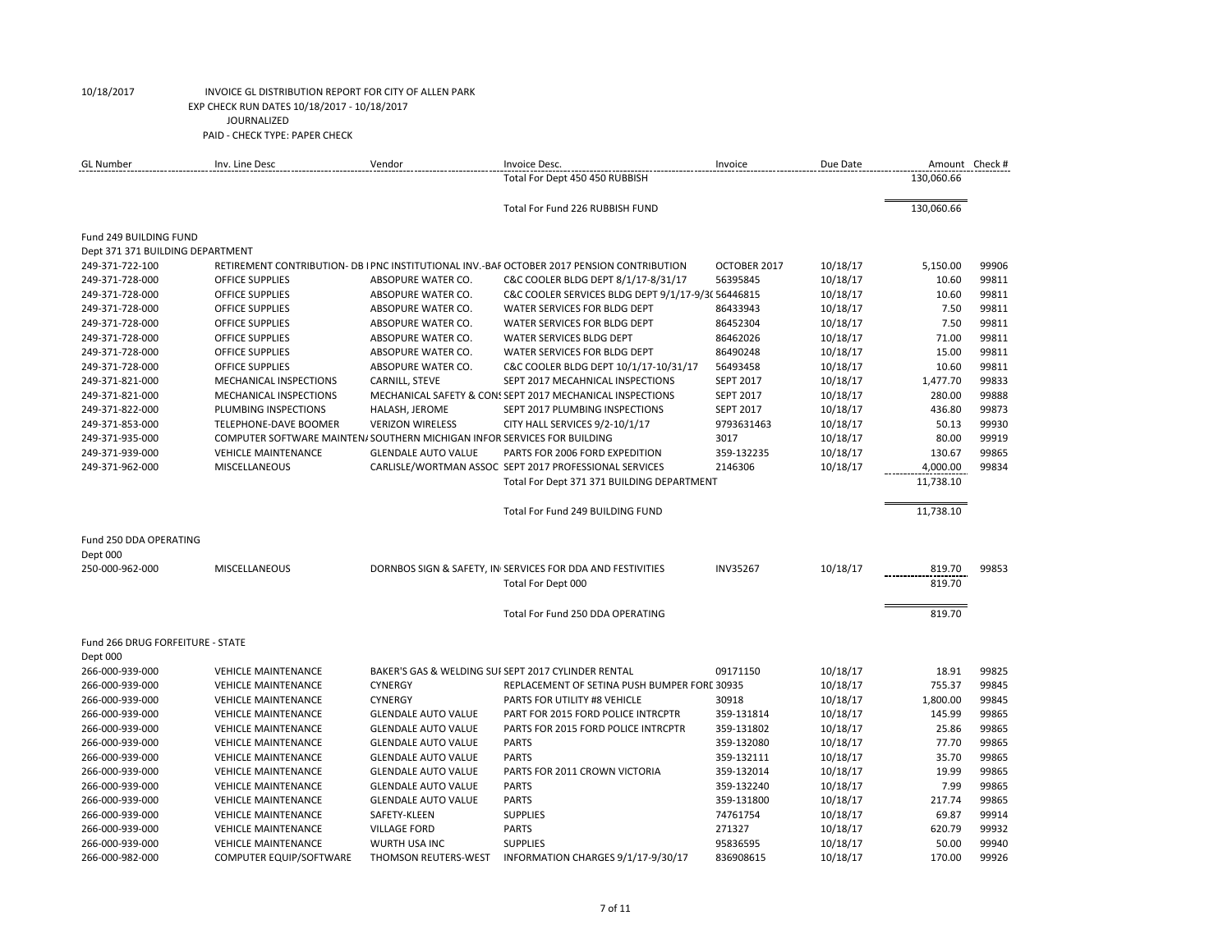| <b>GL Number</b>                 | Inv. Line Desc                                                           | Vendor                     | Invoice Desc.                                                                              | Invoice          | Due Date |            | Amount Check # |
|----------------------------------|--------------------------------------------------------------------------|----------------------------|--------------------------------------------------------------------------------------------|------------------|----------|------------|----------------|
|                                  |                                                                          |                            | Total For Dept 450 450 RUBBISH                                                             |                  |          | 130,060.66 |                |
|                                  |                                                                          |                            | Total For Fund 226 RUBBISH FUND                                                            |                  |          | 130,060.66 |                |
| Fund 249 BUILDING FUND           |                                                                          |                            |                                                                                            |                  |          |            |                |
| Dept 371 371 BUILDING DEPARTMENT |                                                                          |                            |                                                                                            |                  |          |            |                |
| 249-371-722-100                  |                                                                          |                            | RETIREMENT CONTRIBUTION- DB   PNC INSTITUTIONAL INV.-BAF OCTOBER 2017 PENSION CONTRIBUTION | OCTOBER 2017     | 10/18/17 | 5,150.00   | 99906          |
| 249-371-728-000                  | <b>OFFICE SUPPLIES</b>                                                   | ABSOPURE WATER CO.         | C&C COOLER BLDG DEPT 8/1/17-8/31/17                                                        | 56395845         | 10/18/17 | 10.60      | 99811          |
| 249-371-728-000                  | <b>OFFICE SUPPLIES</b>                                                   | ABSOPURE WATER CO.         | C&C COOLER SERVICES BLDG DEPT 9/1/17-9/3(56446815                                          |                  | 10/18/17 | 10.60      | 99811          |
| 249-371-728-000                  | <b>OFFICE SUPPLIES</b>                                                   | ABSOPURE WATER CO.         | WATER SERVICES FOR BLDG DEPT                                                               | 86433943         | 10/18/17 | 7.50       | 99811          |
| 249-371-728-000                  | <b>OFFICE SUPPLIES</b>                                                   | ABSOPURE WATER CO.         | WATER SERVICES FOR BLDG DEPT                                                               | 86452304         | 10/18/17 | 7.50       | 99811          |
| 249-371-728-000                  | <b>OFFICE SUPPLIES</b>                                                   | ABSOPURE WATER CO.         | <b>WATER SERVICES BLDG DEPT</b>                                                            | 86462026         | 10/18/17 | 71.00      | 99811          |
| 249-371-728-000                  | OFFICE SUPPLIES                                                          | ABSOPURE WATER CO.         | WATER SERVICES FOR BLDG DEPT                                                               | 86490248         | 10/18/17 | 15.00      | 99811          |
| 249-371-728-000                  | <b>OFFICE SUPPLIES</b>                                                   | ABSOPURE WATER CO.         | C&C COOLER BLDG DEPT 10/1/17-10/31/17                                                      | 56493458         | 10/18/17 | 10.60      | 99811          |
| 249-371-821-000                  | MECHANICAL INSPECTIONS                                                   | CARNILL, STEVE             | SEPT 2017 MECAHNICAL INSPECTIONS                                                           | <b>SEPT 2017</b> | 10/18/17 | 1,477.70   | 99833          |
| 249-371-821-000                  | <b>MECHANICAL INSPECTIONS</b>                                            |                            | MECHANICAL SAFETY & CON: SEPT 2017 MECHANICAL INSPECTIONS                                  | <b>SEPT 2017</b> | 10/18/17 | 280.00     | 99888          |
| 249-371-822-000                  | PLUMBING INSPECTIONS                                                     | HALASH, JEROME             | SEPT 2017 PLUMBING INSPECTIONS                                                             | <b>SEPT 2017</b> | 10/18/17 | 436.80     | 99873          |
| 249-371-853-000                  | TELEPHONE-DAVE BOOMER                                                    | <b>VERIZON WIRELESS</b>    | CITY HALL SERVICES 9/2-10/1/17                                                             | 9793631463       | 10/18/17 | 50.13      | 99930          |
| 249-371-935-000                  | COMPUTER SOFTWARE MAINTEN/ SOUTHERN MICHIGAN INFOR SERVICES FOR BUILDING |                            |                                                                                            | 3017             | 10/18/17 | 80.00      | 99919          |
| 249-371-939-000                  | <b>VEHICLE MAINTENANCE</b>                                               | <b>GLENDALE AUTO VALUE</b> | PARTS FOR 2006 FORD EXPEDITION                                                             | 359-132235       | 10/18/17 | 130.67     | 99865          |
| 249-371-962-000                  | <b>MISCELLANEOUS</b>                                                     |                            | CARLISLE/WORTMAN ASSOC SEPT 2017 PROFESSIONAL SERVICES                                     | 2146306          | 10/18/17 | 4,000.00   | 99834          |
|                                  |                                                                          |                            | Total For Dept 371 371 BUILDING DEPARTMENT                                                 |                  |          | 11,738.10  |                |
|                                  |                                                                          |                            | Total For Fund 249 BUILDING FUND                                                           |                  |          | 11,738.10  |                |
|                                  |                                                                          |                            |                                                                                            |                  |          |            |                |
| Fund 250 DDA OPERATING           |                                                                          |                            |                                                                                            |                  |          |            |                |
| Dept 000                         |                                                                          |                            |                                                                                            |                  |          |            |                |
| 250-000-962-000                  | <b>MISCELLANEOUS</b>                                                     |                            | DORNBOS SIGN & SAFETY, IN SERVICES FOR DDA AND FESTIVITIES                                 | <b>INV35267</b>  | 10/18/17 | 819.70     | 99853          |
|                                  |                                                                          |                            | Total For Dept 000                                                                         |                  |          | 819.70     |                |
|                                  |                                                                          |                            | Total For Fund 250 DDA OPERATING                                                           |                  |          | 819.70     |                |
| Fund 266 DRUG FORFEITURE - STATE |                                                                          |                            |                                                                                            |                  |          |            |                |
| Dept 000                         |                                                                          |                            |                                                                                            |                  |          |            |                |
| 266-000-939-000                  | <b>VEHICLE MAINTENANCE</b>                                               |                            | BAKER'S GAS & WELDING SUFSEPT 2017 CYLINDER RENTAL                                         | 09171150         | 10/18/17 | 18.91      | 99825          |
| 266-000-939-000                  | <b>VEHICLE MAINTENANCE</b>                                               | <b>CYNERGY</b>             | REPLACEMENT OF SETINA PUSH BUMPER FORE 30935                                               |                  | 10/18/17 | 755.37     | 99845          |
| 266-000-939-000                  | <b>VEHICLE MAINTENANCE</b>                                               | CYNERGY                    | PARTS FOR UTILITY #8 VEHICLE                                                               | 30918            | 10/18/17 | 1,800.00   | 99845          |
| 266-000-939-000                  | <b>VEHICLE MAINTENANCE</b>                                               | <b>GLENDALE AUTO VALUE</b> | PART FOR 2015 FORD POLICE INTRCPTR                                                         | 359-131814       | 10/18/17 | 145.99     | 99865          |
| 266-000-939-000                  | <b>VEHICLE MAINTENANCE</b>                                               | <b>GLENDALE AUTO VALUE</b> | PARTS FOR 2015 FORD POLICE INTRCPTR                                                        | 359-131802       | 10/18/17 | 25.86      | 99865          |
| 266-000-939-000                  | <b>VEHICLE MAINTENANCE</b>                                               | <b>GLENDALE AUTO VALUE</b> | <b>PARTS</b>                                                                               | 359-132080       | 10/18/17 | 77.70      | 99865          |
| 266-000-939-000                  | <b>VEHICLE MAINTENANCE</b>                                               | <b>GLENDALE AUTO VALUE</b> | <b>PARTS</b>                                                                               | 359-132111       | 10/18/17 | 35.70      | 99865          |
| 266-000-939-000                  | <b>VEHICLE MAINTENANCE</b>                                               | <b>GLENDALE AUTO VALUE</b> | PARTS FOR 2011 CROWN VICTORIA                                                              | 359-132014       | 10/18/17 | 19.99      | 99865          |
| 266-000-939-000                  | <b>VEHICLE MAINTENANCE</b>                                               | <b>GLENDALE AUTO VALUE</b> | <b>PARTS</b>                                                                               | 359-132240       | 10/18/17 | 7.99       | 99865          |
| 266-000-939-000                  | <b>VEHICLE MAINTENANCE</b>                                               | <b>GLENDALE AUTO VALUE</b> | <b>PARTS</b>                                                                               | 359-131800       | 10/18/17 | 217.74     | 99865          |
| 266-000-939-000                  | <b>VEHICLE MAINTENANCE</b>                                               | SAFETY-KLEEN               | <b>SUPPLIES</b>                                                                            | 74761754         | 10/18/17 | 69.87      | 99914          |
| 266-000-939-000                  | <b>VEHICLE MAINTENANCE</b>                                               | <b>VILLAGE FORD</b>        | <b>PARTS</b>                                                                               | 271327           | 10/18/17 | 620.79     | 99932          |
| 266-000-939-000                  | <b>VEHICLE MAINTENANCE</b>                                               | WURTH USA INC              | <b>SUPPLIES</b>                                                                            | 95836595         | 10/18/17 | 50.00      | 99940          |
| 266-000-982-000                  | <b>COMPUTER EQUIP/SOFTWARE</b>                                           | THOMSON REUTERS-WEST       | INFORMATION CHARGES 9/1/17-9/30/17                                                         | 836908615        | 10/18/17 | 170.00     | 99926          |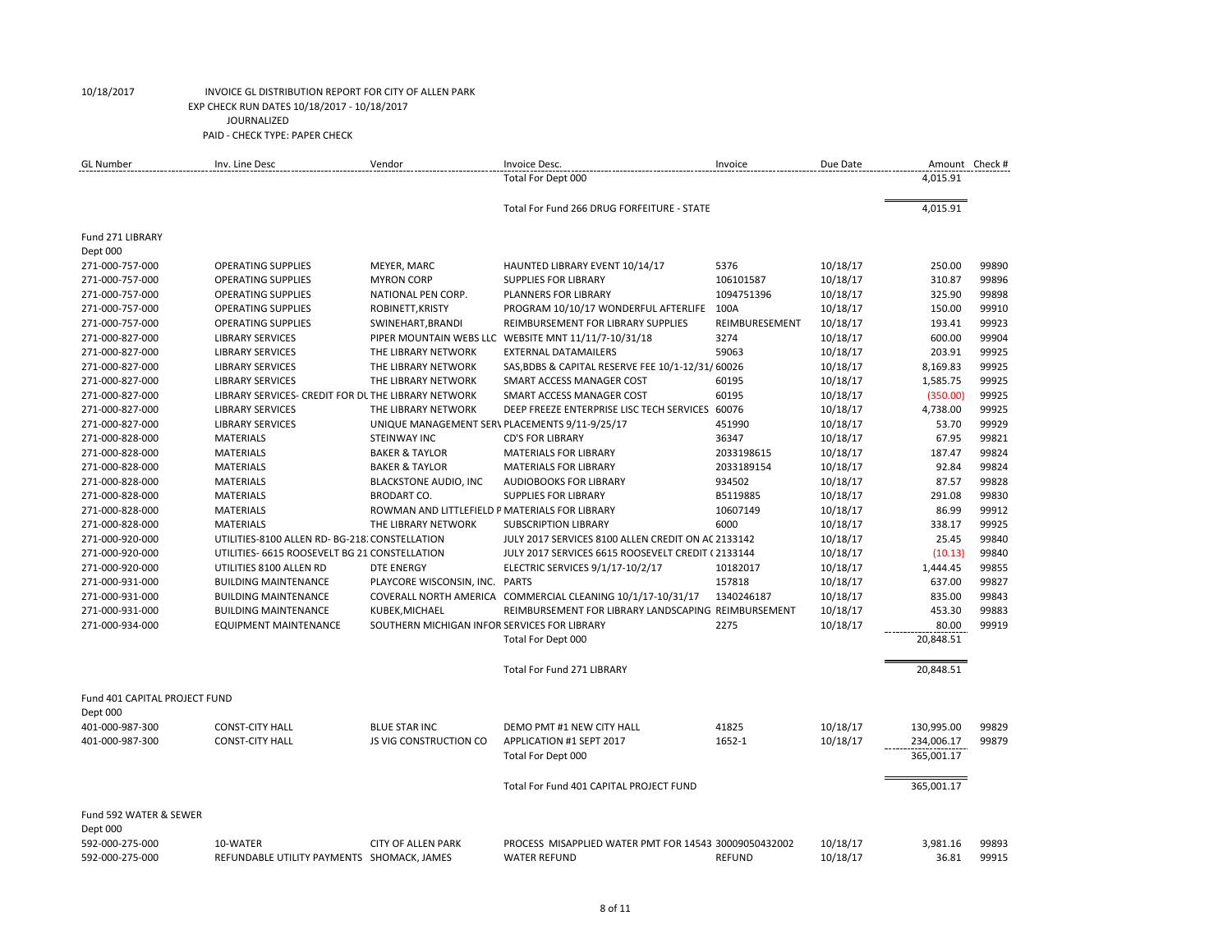| <b>GL Number</b>              | Inv. Line Desc                                      | Vendor                                         | Invoice Desc.                                               | Invoice        | Due Date | Amount Check # |       |
|-------------------------------|-----------------------------------------------------|------------------------------------------------|-------------------------------------------------------------|----------------|----------|----------------|-------|
|                               |                                                     |                                                | Total For Dept 000                                          |                |          | 4,015.91       |       |
|                               |                                                     |                                                | Total For Fund 266 DRUG FORFEITURE - STATE                  |                |          | 4,015.91       |       |
| Fund 271 LIBRARY              |                                                     |                                                |                                                             |                |          |                |       |
| Dept 000                      |                                                     |                                                |                                                             |                |          |                |       |
| 271-000-757-000               | <b>OPERATING SUPPLIES</b>                           | MEYER, MARC                                    | HAUNTED LIBRARY EVENT 10/14/17                              | 5376           | 10/18/17 | 250.00         | 99890 |
| 271-000-757-000               | <b>OPERATING SUPPLIES</b>                           | <b>MYRON CORP</b>                              | <b>SUPPLIES FOR LIBRARY</b>                                 | 106101587      | 10/18/17 | 310.87         | 99896 |
| 271-000-757-000               | <b>OPERATING SUPPLIES</b>                           | NATIONAL PEN CORP.                             | PLANNERS FOR LIBRARY                                        | 1094751396     | 10/18/17 | 325.90         | 99898 |
| 271-000-757-000               | <b>OPERATING SUPPLIES</b>                           | ROBINETT, KRISTY                               | PROGRAM 10/10/17 WONDERFUL AFTERLIFE                        | 100A           | 10/18/17 | 150.00         | 99910 |
| 271-000-757-000               | <b>OPERATING SUPPLIES</b>                           | SWINEHART, BRANDI                              | REIMBURSEMENT FOR LIBRARY SUPPLIES                          | REIMBURESEMENT | 10/18/17 | 193.41         | 99923 |
| 271-000-827-000               | <b>LIBRARY SERVICES</b>                             |                                                | PIPER MOUNTAIN WEBS LLC WEBSITE MNT 11/11/7-10/31/18        | 3274           | 10/18/17 | 600.00         | 99904 |
| 271-000-827-000               | <b>LIBRARY SERVICES</b>                             | THE LIBRARY NETWORK                            | <b>EXTERNAL DATAMAILERS</b>                                 | 59063          | 10/18/17 | 203.91         | 99925 |
| 271-000-827-000               | <b>LIBRARY SERVICES</b>                             | THE LIBRARY NETWORK                            | SAS, BDBS & CAPITAL RESERVE FEE 10/1-12/31/60026            |                | 10/18/17 | 8,169.83       | 99925 |
| 271-000-827-000               | <b>LIBRARY SERVICES</b>                             | THE LIBRARY NETWORK                            | SMART ACCESS MANAGER COST                                   | 60195          | 10/18/17 | 1,585.75       | 99925 |
| 271-000-827-000               | LIBRARY SERVICES- CREDIT FOR DL THE LIBRARY NETWORK |                                                | SMART ACCESS MANAGER COST                                   | 60195          | 10/18/17 | (350.00)       | 99925 |
| 271-000-827-000               | <b>LIBRARY SERVICES</b>                             | THE LIBRARY NETWORK                            | DEEP FREEZE ENTERPRISE LISC TECH SERVICES 60076             |                | 10/18/17 | 4,738.00       | 99925 |
| 271-000-827-000               | <b>LIBRARY SERVICES</b>                             | UNIQUE MANAGEMENT SER\ PLACEMENTS 9/11-9/25/17 |                                                             | 451990         | 10/18/17 | 53.70          | 99929 |
| 271-000-828-000               | <b>MATERIALS</b>                                    | <b>STEINWAY INC</b>                            | <b>CD'S FOR LIBRARY</b>                                     | 36347          | 10/18/17 | 67.95          | 99821 |
| 271-000-828-000               | <b>MATERIALS</b>                                    | <b>BAKER &amp; TAYLOR</b>                      | <b>MATERIALS FOR LIBRARY</b>                                | 2033198615     | 10/18/17 | 187.47         | 99824 |
| 271-000-828-000               | <b>MATERIALS</b>                                    | <b>BAKER &amp; TAYLOR</b>                      | <b>MATERIALS FOR LIBRARY</b>                                | 2033189154     | 10/18/17 | 92.84          | 99824 |
| 271-000-828-000               | <b>MATERIALS</b>                                    | <b>BLACKSTONE AUDIO, INC</b>                   | <b>AUDIOBOOKS FOR LIBRARY</b>                               | 934502         | 10/18/17 | 87.57          | 99828 |
| 271-000-828-000               | <b>MATERIALS</b>                                    | <b>BRODART CO.</b>                             | <b>SUPPLIES FOR LIBRARY</b>                                 | B5119885       | 10/18/17 | 291.08         | 99830 |
| 271-000-828-000               | <b>MATERIALS</b>                                    | ROWMAN AND LITTLEFIELD P MATERIALS FOR LIBRARY |                                                             | 10607149       | 10/18/17 | 86.99          | 99912 |
| 271-000-828-000               | <b>MATERIALS</b>                                    | THE LIBRARY NETWORK                            | <b>SUBSCRIPTION LIBRARY</b>                                 | 6000           | 10/18/17 | 338.17         | 99925 |
| 271-000-920-000               | UTILITIES-8100 ALLEN RD- BG-218. CONSTELLATION      |                                                | JULY 2017 SERVICES 8100 ALLEN CREDIT ON AC 2133142          |                | 10/18/17 | 25.45          | 99840 |
| 271-000-920-000               | UTILITIES- 6615 ROOSEVELT BG 21 CONSTELLATION       |                                                | JULY 2017 SERVICES 6615 ROOSEVELT CREDIT (2133144           |                | 10/18/17 | (10.13)        | 99840 |
| 271-000-920-000               | UTILITIES 8100 ALLEN RD                             | <b>DTE ENERGY</b>                              | ELECTRIC SERVICES 9/1/17-10/2/17                            | 10182017       | 10/18/17 | 1,444.45       | 99855 |
| 271-000-931-000               | <b>BUILDING MAINTENANCE</b>                         | PLAYCORE WISCONSIN, INC. PARTS                 |                                                             | 157818         | 10/18/17 | 637.00         | 99827 |
| 271-000-931-000               | <b>BUILDING MAINTENANCE</b>                         |                                                | COVERALL NORTH AMERICA COMMERCIAL CLEANING 10/1/17-10/31/17 | 1340246187     | 10/18/17 | 835.00         | 99843 |
| 271-000-931-000               | <b>BUILDING MAINTENANCE</b>                         | KUBEK, MICHAEL                                 | REIMBURSEMENT FOR LIBRARY LANDSCAPING REIMBURSEMENT         |                | 10/18/17 | 453.30         | 99883 |
| 271-000-934-000               | <b>EQUIPMENT MAINTENANCE</b>                        | SOUTHERN MICHIGAN INFOR SERVICES FOR LIBRARY   |                                                             | 2275           | 10/18/17 | 80.00          | 99919 |
|                               |                                                     |                                                | Total For Dept 000                                          |                |          | 20,848.51      |       |
|                               |                                                     |                                                | Total For Fund 271 LIBRARY                                  |                |          | 20,848.51      |       |
| Fund 401 CAPITAL PROJECT FUND |                                                     |                                                |                                                             |                |          |                |       |
| Dept 000                      |                                                     |                                                |                                                             |                |          |                |       |
| 401-000-987-300               | <b>CONST-CITY HALL</b>                              | <b>BLUE STAR INC</b>                           | DEMO PMT #1 NEW CITY HALL                                   | 41825          | 10/18/17 | 130,995.00     | 99829 |
| 401-000-987-300               | <b>CONST-CITY HALL</b>                              | <b>JS VIG CONSTRUCTION CO</b>                  | APPLICATION #1 SEPT 2017                                    | 1652-1         | 10/18/17 | 234,006.17     | 99879 |
|                               |                                                     |                                                | Total For Dept 000                                          |                |          | 365,001.17     |       |
|                               |                                                     |                                                | Total For Fund 401 CAPITAL PROJECT FUND                     |                |          | 365,001.17     |       |
| Fund 592 WATER & SEWER        |                                                     |                                                |                                                             |                |          |                |       |
| Dept 000                      |                                                     |                                                |                                                             |                |          |                |       |
| 592-000-275-000               | 10-WATER                                            | <b>CITY OF ALLEN PARK</b>                      | PROCESS MISAPPLIED WATER PMT FOR 14543 30009050432002       |                | 10/18/17 | 3,981.16       | 99893 |
| 592-000-275-000               | REFUNDABLE UTILITY PAYMENTS SHOMACK, JAMES          |                                                | <b>WATER REFUND</b>                                         | <b>REFUND</b>  | 10/18/17 | 36.81          | 99915 |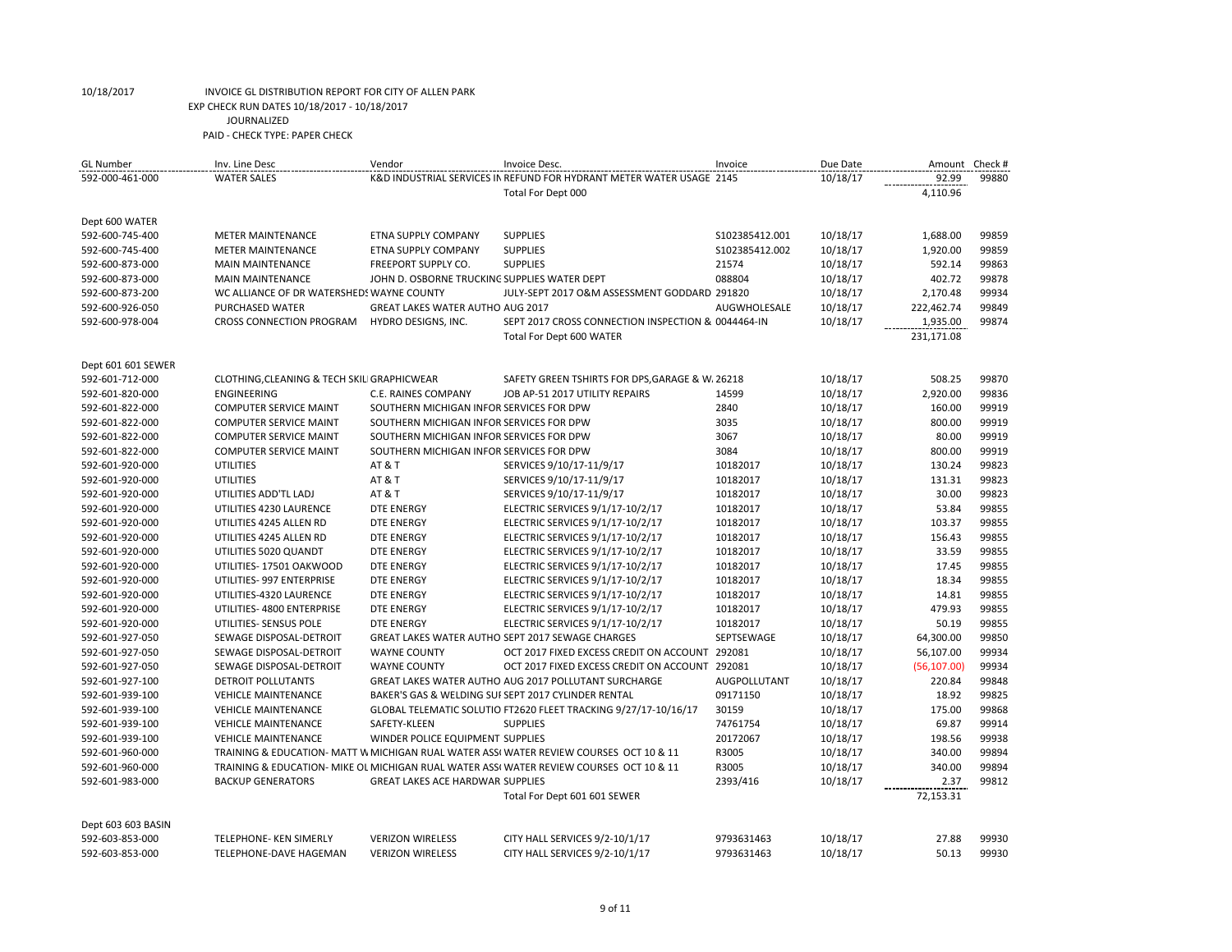| <b>GL Number</b>   | Inv. Line Desc                             | Vendor                                       | Invoice Desc.                                                                          | Invoice             | Due Date | Amount       | Check # |
|--------------------|--------------------------------------------|----------------------------------------------|----------------------------------------------------------------------------------------|---------------------|----------|--------------|---------|
| 592-000-461-000    | <b>WATER SALES</b>                         |                                              | K&D INDUSTRIAL SERVICES IN REFUND FOR HYDRANT METER WATER USAGE 2145                   |                     | 10/18/17 | 92.99        | 99880   |
|                    |                                            |                                              | Total For Dept 000                                                                     |                     |          | 4,110.96     |         |
|                    |                                            |                                              |                                                                                        |                     |          |              |         |
| Dept 600 WATER     |                                            |                                              |                                                                                        |                     |          |              |         |
| 592-600-745-400    | <b>METER MAINTENANCE</b>                   | ETNA SUPPLY COMPANY                          | <b>SUPPLIES</b>                                                                        | \$102385412.001     | 10/18/17 | 1,688.00     | 99859   |
| 592-600-745-400    | <b>METER MAINTENANCE</b>                   | <b>ETNA SUPPLY COMPANY</b>                   | <b>SUPPLIES</b>                                                                        | S102385412.002      | 10/18/17 | 1,920.00     | 99859   |
| 592-600-873-000    | <b>MAIN MAINTENANCE</b>                    | <b>FREEPORT SUPPLY CO.</b>                   | <b>SUPPLIES</b>                                                                        | 21574               | 10/18/17 | 592.14       | 99863   |
| 592-600-873-000    | <b>MAIN MAINTENANCE</b>                    | JOHN D. OSBORNE TRUCKING SUPPLIES WATER DEPT |                                                                                        | 088804              | 10/18/17 | 402.72       | 99878   |
| 592-600-873-200    | WC ALLIANCE OF DR WATERSHEDS WAYNE COUNTY  |                                              | JULY-SEPT 2017 O&M ASSESSMENT GODDARD 291820                                           |                     | 10/18/17 | 2,170.48     | 99934   |
| 592-600-926-050    | PURCHASED WATER                            | GREAT LAKES WATER AUTHO AUG 2017             |                                                                                        | AUGWHOLESALE        | 10/18/17 | 222,462.74   | 99849   |
| 592-600-978-004    | CROSS CONNECTION PROGRAM                   | HYDRO DESIGNS, INC.                          | SEPT 2017 CROSS CONNECTION INSPECTION & 0044464-IN                                     |                     | 10/18/17 | 1,935.00     | 99874   |
|                    |                                            |                                              | Total For Dept 600 WATER                                                               |                     |          | 231,171.08   |         |
|                    |                                            |                                              |                                                                                        |                     |          |              |         |
| Dept 601 601 SEWER |                                            |                                              |                                                                                        |                     |          |              |         |
| 592-601-712-000    | CLOTHING, CLEANING & TECH SKIL GRAPHICWEAR |                                              | SAFETY GREEN TSHIRTS FOR DPS, GARAGE & W. 26218                                        |                     | 10/18/17 | 508.25       | 99870   |
| 592-601-820-000    | <b>ENGINEERING</b>                         | C.E. RAINES COMPANY                          | JOB AP-51 2017 UTILITY REPAIRS                                                         | 14599               | 10/18/17 | 2,920.00     | 99836   |
| 592-601-822-000    | <b>COMPUTER SERVICE MAINT</b>              | SOUTHERN MICHIGAN INFOR SERVICES FOR DPW     |                                                                                        | 2840                | 10/18/17 | 160.00       | 99919   |
| 592-601-822-000    | <b>COMPUTER SERVICE MAINT</b>              | SOUTHERN MICHIGAN INFOR SERVICES FOR DPW     |                                                                                        | 3035                | 10/18/17 | 800.00       | 99919   |
| 592-601-822-000    | <b>COMPUTER SERVICE MAINT</b>              | SOUTHERN MICHIGAN INFOR SERVICES FOR DPW     |                                                                                        | 3067                | 10/18/17 | 80.00        | 99919   |
| 592-601-822-000    | <b>COMPUTER SERVICE MAINT</b>              | SOUTHERN MICHIGAN INFOR SERVICES FOR DPW     |                                                                                        | 3084                | 10/18/17 | 800.00       | 99919   |
| 592-601-920-000    | <b>UTILITIES</b>                           | <b>AT &amp; T</b>                            | SERVICES 9/10/17-11/9/17                                                               | 10182017            | 10/18/17 | 130.24       | 99823   |
| 592-601-920-000    | <b>UTILITIES</b>                           | AT & T                                       | SERVICES 9/10/17-11/9/17                                                               | 10182017            | 10/18/17 | 131.31       | 99823   |
| 592-601-920-000    | UTILITIES ADD'TL LADJ                      | AT & T                                       | SERVICES 9/10/17-11/9/17                                                               | 10182017            | 10/18/17 | 30.00        | 99823   |
| 592-601-920-000    | UTILITIES 4230 LAURENCE                    | <b>DTE ENERGY</b>                            | ELECTRIC SERVICES 9/1/17-10/2/17                                                       | 10182017            | 10/18/17 | 53.84        | 99855   |
| 592-601-920-000    | UTILITIES 4245 ALLEN RD                    | <b>DTE ENERGY</b>                            | ELECTRIC SERVICES 9/1/17-10/2/17                                                       | 10182017            | 10/18/17 | 103.37       | 99855   |
| 592-601-920-000    | UTILITIES 4245 ALLEN RD                    | <b>DTE ENERGY</b>                            | ELECTRIC SERVICES 9/1/17-10/2/17                                                       | 10182017            | 10/18/17 | 156.43       | 99855   |
| 592-601-920-000    | UTILITIES 5020 QUANDT                      | <b>DTE ENERGY</b>                            | ELECTRIC SERVICES 9/1/17-10/2/17                                                       | 10182017            | 10/18/17 | 33.59        | 99855   |
| 592-601-920-000    | UTILITIES-17501 OAKWOOD                    | <b>DTE ENERGY</b>                            | ELECTRIC SERVICES 9/1/17-10/2/17                                                       | 10182017            | 10/18/17 | 17.45        | 99855   |
| 592-601-920-000    | UTILITIES- 997 ENTERPRISE                  | <b>DTE ENERGY</b>                            | ELECTRIC SERVICES 9/1/17-10/2/17                                                       | 10182017            | 10/18/17 | 18.34        | 99855   |
| 592-601-920-000    | UTILITIES-4320 LAURENCE                    | <b>DTE ENERGY</b>                            | ELECTRIC SERVICES 9/1/17-10/2/17                                                       | 10182017            | 10/18/17 | 14.81        | 99855   |
| 592-601-920-000    | UTILITIES- 4800 ENTERPRISE                 | DTE ENERGY                                   | ELECTRIC SERVICES 9/1/17-10/2/17                                                       | 10182017            | 10/18/17 | 479.93       | 99855   |
| 592-601-920-000    | UTILITIES- SENSUS POLE                     | <b>DTE ENERGY</b>                            | ELECTRIC SERVICES 9/1/17-10/2/17                                                       | 10182017            | 10/18/17 | 50.19        | 99855   |
| 592-601-927-050    | SEWAGE DISPOSAL-DETROIT                    |                                              | GREAT LAKES WATER AUTHO SEPT 2017 SEWAGE CHARGES                                       | SEPTSEWAGE          | 10/18/17 | 64,300.00    | 99850   |
| 592-601-927-050    | SEWAGE DISPOSAL-DETROIT                    | <b>WAYNE COUNTY</b>                          | OCT 2017 FIXED EXCESS CREDIT ON ACCOUNT 292081                                         |                     | 10/18/17 | 56,107.00    | 99934   |
| 592-601-927-050    | SEWAGE DISPOSAL-DETROIT                    | <b>WAYNE COUNTY</b>                          | OCT 2017 FIXED EXCESS CREDIT ON ACCOUNT 292081                                         |                     | 10/18/17 | (56, 107.00) | 99934   |
| 592-601-927-100    | <b>DETROIT POLLUTANTS</b>                  |                                              | GREAT LAKES WATER AUTHO AUG 2017 POLLUTANT SURCHARGE                                   | <b>AUGPOLLUTANT</b> | 10/18/17 | 220.84       | 99848   |
| 592-601-939-100    | <b>VEHICLE MAINTENANCE</b>                 |                                              | BAKER'S GAS & WELDING SUFSEPT 2017 CYLINDER RENTAL                                     | 09171150            | 10/18/17 | 18.92        | 99825   |
| 592-601-939-100    | <b>VEHICLE MAINTENANCE</b>                 |                                              | GLOBAL TELEMATIC SOLUTIO FT2620 FLEET TRACKING 9/27/17-10/16/17                        | 30159               | 10/18/17 | 175.00       | 99868   |
| 592-601-939-100    | <b>VEHICLE MAINTENANCE</b>                 | SAFETY-KLEEN                                 | <b>SUPPLIES</b>                                                                        | 74761754            | 10/18/17 | 69.87        | 99914   |
| 592-601-939-100    | <b>VEHICLE MAINTENANCE</b>                 | WINDER POLICE EQUIPMENT SUPPLIES             |                                                                                        | 20172067            | 10/18/17 | 198.56       | 99938   |
| 592-601-960-000    |                                            |                                              | TRAINING & EDUCATION- MATT W MICHIGAN RUAL WATER ASS( WATER REVIEW COURSES OCT 10 & 11 | R3005               | 10/18/17 | 340.00       | 99894   |
| 592-601-960-000    |                                            |                                              | TRAINING & EDUCATION- MIKE OL MICHIGAN RUAL WATER ASS(WATER REVIEW COURSES OCT 10 & 11 | R3005               | 10/18/17 | 340.00       | 99894   |
| 592-601-983-000    | <b>BACKUP GENERATORS</b>                   | GREAT LAKES ACE HARDWAR SUPPLIES             |                                                                                        | 2393/416            | 10/18/17 | 2.37         | 99812   |
|                    |                                            |                                              |                                                                                        |                     |          | 72,153.31    |         |
|                    |                                            |                                              | Total For Dept 601 601 SEWER                                                           |                     |          |              |         |
| Dept 603 603 BASIN |                                            |                                              |                                                                                        |                     |          |              |         |
| 592-603-853-000    | <b>TELEPHONE- KEN SIMERLY</b>              | <b>VERIZON WIRELESS</b>                      | CITY HALL SERVICES 9/2-10/1/17                                                         | 9793631463          | 10/18/17 | 27.88        | 99930   |
| 592-603-853-000    | <b>TELEPHONE-DAVE HAGEMAN</b>              | <b>VERIZON WIRELESS</b>                      | CITY HALL SERVICES 9/2-10/1/17                                                         | 9793631463          | 10/18/17 | 50.13        | 99930   |
|                    |                                            |                                              |                                                                                        |                     |          |              |         |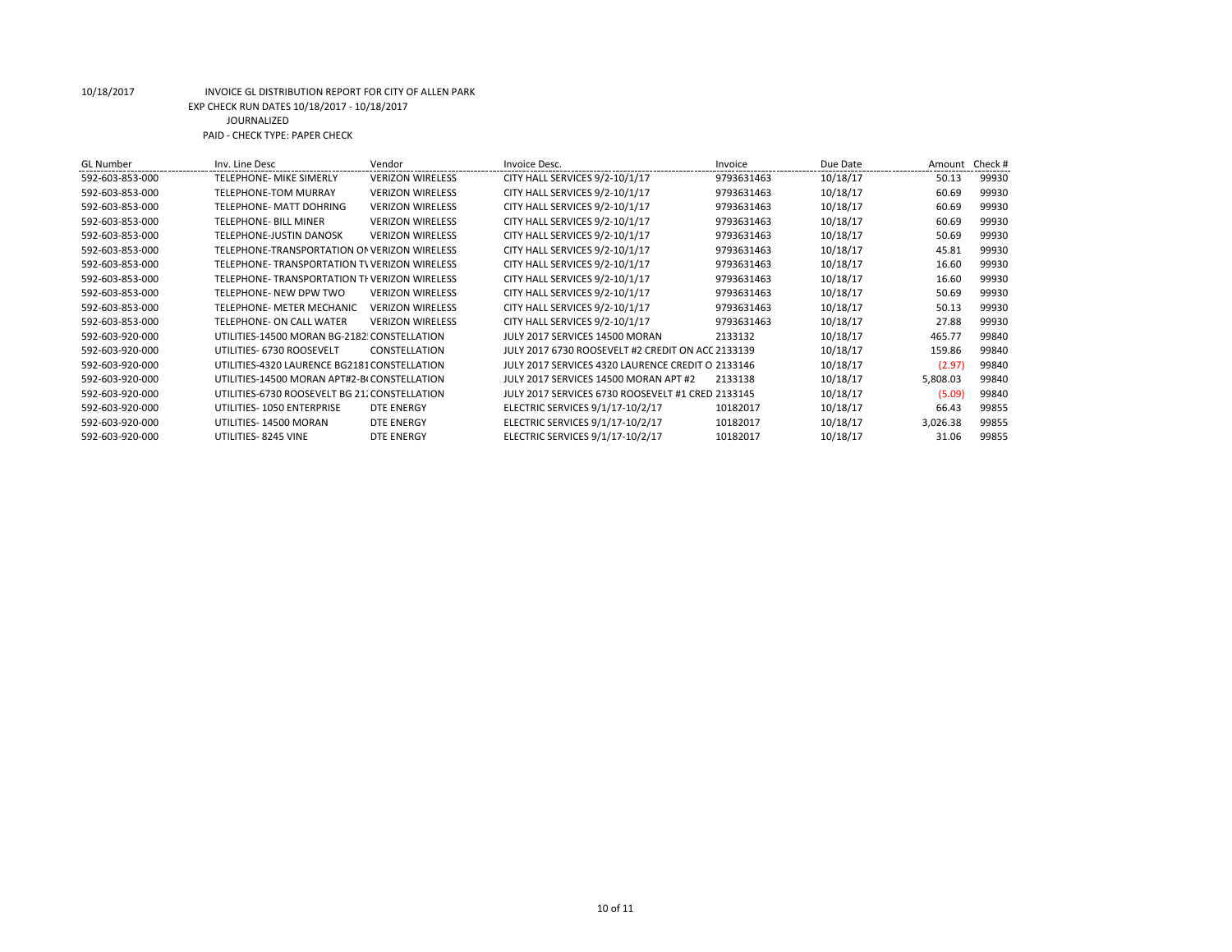| <b>GL Number</b> | Inv. Line Desc                                | Vendor                  | Invoice Desc.                                     | Invoice    | Due Date | Amount   | Check # |
|------------------|-----------------------------------------------|-------------------------|---------------------------------------------------|------------|----------|----------|---------|
| 592-603-853-000  | <b>TELEPHONE- MIKE SIMERLY</b>                | <b>VERIZON WIRELESS</b> | CITY HALL SERVICES 9/2-10/1/17                    | 9793631463 | 10/18/17 | 50.13    | 99930   |
| 592-603-853-000  | <b>TELEPHONE-TOM MURRAY</b>                   | <b>VERIZON WIRELESS</b> | CITY HALL SERVICES 9/2-10/1/17                    | 9793631463 | 10/18/17 | 60.69    | 99930   |
| 592-603-853-000  | <b>TELEPHONE- MATT DOHRING</b>                | <b>VERIZON WIRELESS</b> | CITY HALL SERVICES 9/2-10/1/17                    | 9793631463 | 10/18/17 | 60.69    | 99930   |
| 592-603-853-000  | <b>TELEPHONE- BILL MINER</b>                  | <b>VERIZON WIRELESS</b> | CITY HALL SERVICES 9/2-10/1/17                    | 9793631463 | 10/18/17 | 60.69    | 99930   |
| 592-603-853-000  | <b>TELEPHONE-JUSTIN DANOSK</b>                | <b>VERIZON WIRELESS</b> | CITY HALL SERVICES 9/2-10/1/17                    | 9793631463 | 10/18/17 | 50.69    | 99930   |
| 592-603-853-000  | TELEPHONE-TRANSPORTATION OF VERIZON WIRELESS  |                         | CITY HALL SERVICES 9/2-10/1/17                    | 9793631463 | 10/18/17 | 45.81    | 99930   |
| 592-603-853-000  | TELEPHONE-TRANSPORTATION TV VERIZON WIRELESS  |                         | CITY HALL SERVICES 9/2-10/1/17                    | 9793631463 | 10/18/17 | 16.60    | 99930   |
| 592-603-853-000  | TELEPHONE-TRANSPORTATION TI VERIZON WIRELESS  |                         | CITY HALL SERVICES 9/2-10/1/17                    | 9793631463 | 10/18/17 | 16.60    | 99930   |
| 592-603-853-000  | TELEPHONE- NEW DPW TWO                        | <b>VERIZON WIRELESS</b> | CITY HALL SERVICES 9/2-10/1/17                    | 9793631463 | 10/18/17 | 50.69    | 99930   |
| 592-603-853-000  | TELEPHONE- METER MECHANIC                     | <b>VERIZON WIRELESS</b> | CITY HALL SERVICES 9/2-10/1/17                    | 9793631463 | 10/18/17 | 50.13    | 99930   |
| 592-603-853-000  | <b>TELEPHONE- ON CALL WATER</b>               | <b>VERIZON WIRELESS</b> | CITY HALL SERVICES 9/2-10/1/17                    | 9793631463 | 10/18/17 | 27.88    | 99930   |
| 592-603-920-000  | UTILITIES-14500 MORAN BG-2182 CONSTELLATION   |                         | JULY 2017 SERVICES 14500 MORAN                    | 2133132    | 10/18/17 | 465.77   | 99840   |
| 592-603-920-000  | UTILITIES- 6730 ROOSEVELT                     | CONSTELLATION           | JULY 2017 6730 ROOSEVELT #2 CREDIT ON ACC 2133139 |            | 10/18/17 | 159.86   | 99840   |
| 592-603-920-000  | UTILITIES-4320 LAURENCE BG2181 CONSTELLATION  |                         | JULY 2017 SERVICES 4320 LAURENCE CREDIT O 2133146 |            | 10/18/17 | (2.97)   | 99840   |
| 592-603-920-000  | UTILITIES-14500 MORAN APT#2-BI CONSTELLATION  |                         | JULY 2017 SERVICES 14500 MORAN APT #2             | 2133138    | 10/18/17 | 5,808.03 | 99840   |
| 592-603-920-000  | UTILITIES-6730 ROOSEVELT BG 21. CONSTELLATION |                         | JULY 2017 SERVICES 6730 ROOSEVELT #1 CRED 2133145 |            | 10/18/17 | (5.09)   | 99840   |
| 592-603-920-000  | UTILITIES-1050 ENTERPRISE                     | DTE ENERGY              | ELECTRIC SERVICES 9/1/17-10/2/17                  | 10182017   | 10/18/17 | 66.43    | 99855   |
| 592-603-920-000  | UTILITIES-14500 MORAN                         | <b>DTE ENERGY</b>       | ELECTRIC SERVICES 9/1/17-10/2/17                  | 10182017   | 10/18/17 | 3,026.38 | 99855   |
| 592-603-920-000  | UTILITIES-8245 VINE                           | <b>DTE ENERGY</b>       | ELECTRIC SERVICES 9/1/17-10/2/17                  | 10182017   | 10/18/17 | 31.06    | 99855   |